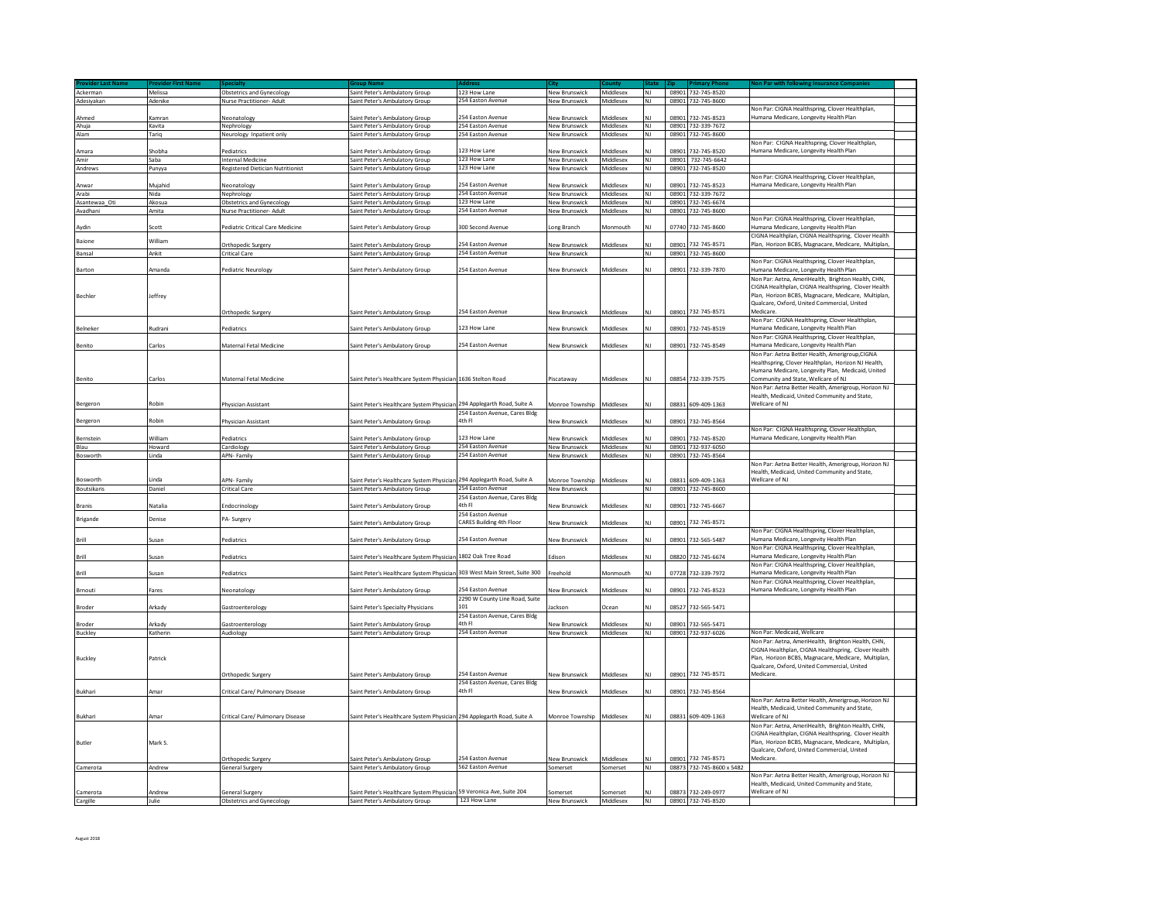| Ackerman             | Melissa         | <b>Obstetrics and Gynecology</b>             | Saint Peter's Ambulatory Group                                              | 123 How Lane                            | New Brunswick             | <b>Middlesex</b>      | <b>NJ</b>       |       | 08901 732-745-8520                        |                                                                                                    |  |
|----------------------|-----------------|----------------------------------------------|-----------------------------------------------------------------------------|-----------------------------------------|---------------------------|-----------------------|-----------------|-------|-------------------------------------------|----------------------------------------------------------------------------------------------------|--|
| Adesiyakan           | Adenike         | Nurse Practitioner- Adult                    | Saint Peter's Ambulatory Group                                              | 254 Easton Avenue                       | New Brunswick             | Middlesex             | N <sub>1</sub>  | 08901 | 732-745-8600                              |                                                                                                    |  |
|                      |                 |                                              |                                                                             |                                         |                           |                       |                 |       |                                           | Non Par: CIGNA Healthspring, Clover Healthplan                                                     |  |
| Ahmed                | <b>Camran</b>   | Neonatology                                  | Saint Peter's Ambulatory Group                                              | 254 Easton Avenue                       | New Brunswick             | Middlesex             | NI              | 08901 | 732-745-8523                              | Humana Medicare, Longevity Health Plan                                                             |  |
| Ahuja                | Kavita          | Nephrology                                   | Saint Peter's Ambulatory Group                                              | 254 Easton Avenue                       | New Brunswick             | Middlesex             | NJ              |       | 08901 732-339-7672                        |                                                                                                    |  |
| Alam                 | Tariq           | Neurology Inpatient only                     | Saint Peter's Ambulatory Group                                              | 254 Easton Avenue                       | <b>New Brunswick</b>      | Middlesex             | NJ              | 08901 | 732-745-8600                              |                                                                                                    |  |
|                      |                 |                                              |                                                                             |                                         |                           |                       |                 |       |                                           | Non Par: CIGNA Healthspring, Clover Healthplan,                                                    |  |
| Amara                | Shobha          | Pediatrics                                   | Saint Peter's Ambulatory Group                                              | 123 How Lane                            | New Brunswick             | Middlesex             | N               | 08901 | 732-745-8520                              | Humana Medicare, Longevity Health Plan                                                             |  |
| Amir                 | Saha            | Internal Medicine                            | Saint Peter's Ambulatory Group                                              | 123 How Lane                            | New Brunswick             | <b>Middlesex</b>      | <b>NJ</b>       |       | 08901 732-745-6642                        |                                                                                                    |  |
| Andrews              | Punyya          | <b>Registered Dietician Nutritionist</b>     | Saint Peter's Ambulatory Group                                              | 123 How Lane                            | New Brunswick             | Middlesex             | NJ              |       | 08901 732-745-8520                        |                                                                                                    |  |
|                      |                 |                                              |                                                                             |                                         |                           |                       |                 |       |                                           | Non Par: CIGNA Healthspring, Clover Healthplan,                                                    |  |
| Anwar                | Mujahid         | Neonatology                                  | aint Peter's Ambulatory Group                                               | 254 Easton Avenue                       | <b>Vew Brunswick</b>      | <b>Middlesex</b>      |                 |       | 08901 732-745-8523                        | Humana Medicare, Longevity Health Plan                                                             |  |
| Arabi                | Nida            | Nephrology                                   | Saint Peter's Ambulatory Group                                              | 254 Easton Avenue                       | New Brunswick             | Middlesex             | N1              |       | 08901 732-339-7672                        |                                                                                                    |  |
| Asantewaa_Oti        | Akosua          | <b>Obstetrics and Gynecology</b>             | Saint Peter's Ambulatory Group                                              | 123 How Lane                            | New Brunswick             | Middlesex             | NJ              | 08901 | 732-745-6674                              |                                                                                                    |  |
| Avadhani             | Amita           | Nurse Practitioner- Adult                    | Saint Peter's Ambulatory Group                                              | 254 Easton Avenue                       | New Brunswick             | Middlesex             | NJ              |       | 08901 732-745-8600                        |                                                                                                    |  |
|                      |                 |                                              |                                                                             |                                         |                           |                       |                 |       |                                           | Non Par: CIGNA Healthspring, Clover Healthplan,                                                    |  |
| Aydin                | Scott           | Pediatric Critical Care Medicine             | Saint Peter's Ambulatory Group                                              | 300 Second Avenue                       | Long Branch               | Monmouth              | NI              | 07740 | 732-745-8600                              | Humana Medicare, Longevity Health Plan                                                             |  |
|                      | William         |                                              |                                                                             |                                         |                           |                       |                 |       |                                           | CIGNA Healthplan, CIGNA Healthspring, Clover Health                                                |  |
| <b>Baione</b>        |                 | Orthopedic Surgery                           | Saint Peter's Ambulatory Group                                              | 254 Easton Avenue                       | <b>Jew Brunswick</b>      | Middlesex             |                 | 08901 | 732-745-8571                              | Plan, Horizon BCBS, Magnacare, Medicare, Multiplan,                                                |  |
| Bansal               | Ankit           | Critical Care                                | Saint Peter's Ambulatory Group                                              | 254 Faston Avenue                       | New Brunswick             |                       | NJ              |       | 08901 732-745-8600                        |                                                                                                    |  |
|                      |                 |                                              |                                                                             |                                         |                           |                       |                 |       |                                           | Non Par: CIGNA Healthspring, Clover Healthplan,                                                    |  |
| Barton               | manda           | ediatric Neurology                           | aint Peter's Ambulatory Group                                               | 254 Easton Avenue                       | lew Brunswick             | viddlesex             |                 | 08901 | 732-339-7870                              | Humana Medicare, Longevity Health Plan                                                             |  |
|                      |                 |                                              |                                                                             |                                         |                           |                       |                 |       |                                           | Non Par: Aetna, AmeriHealth, Brighton Health, CHN.                                                 |  |
|                      |                 |                                              |                                                                             |                                         |                           |                       |                 |       |                                           | CIGNA Healthplan, CIGNA Healthspring, Clover Health                                                |  |
| Bechler              | Jeffrey         |                                              |                                                                             |                                         |                           |                       |                 |       |                                           | Plan, Horizon BCBS, Magnacare, Medicare, Multiplan,                                                |  |
|                      |                 |                                              |                                                                             |                                         |                           |                       |                 |       |                                           | Qualcare, Oxford, United Commercial, United                                                        |  |
|                      |                 | Orthopedic Surgery                           | Saint Peter's Ambulatory Group                                              | 254 Faston Avenue                       | New Brunswick             | Middlesex             |                 |       | 08901 732-745-8571                        | Medicare.                                                                                          |  |
|                      |                 |                                              |                                                                             |                                         |                           |                       |                 |       |                                           | Non Par: CIGNA Healthspring, Clover Healthplan,                                                    |  |
| Belneker             | <b>Rudrani</b>  | Pediatrics                                   | aint Peter's Ambulatory Group                                               | 123 How Lane                            | lew Brunswick             | viddlesex             |                 | 08901 | 732-745-8519                              | Humana Medicare, Longevity Health Plan                                                             |  |
|                      |                 |                                              |                                                                             |                                         |                           |                       |                 |       |                                           | Non Par: CIGNA Healthspring, Clover Healthplan,                                                    |  |
| Benito               | Carlos          | Maternal Fetal Medicine                      | aint Peter's Ambulatory Group                                               | 254 Easton Avenue                       | New Brunswick             | Middlesex             | NJ              |       | 08901 732-745-8549                        | Humana Medicare, Longevity Health Plan                                                             |  |
|                      |                 |                                              |                                                                             |                                         |                           |                       |                 |       |                                           | Non Par: Aetna Better Health, Amerigroup.CIGNA                                                     |  |
|                      |                 |                                              |                                                                             |                                         |                           |                       |                 |       |                                           | Healthspring, Clover Healthplan, Horizon NJ Health                                                 |  |
|                      |                 |                                              |                                                                             |                                         |                           |                       |                 |       |                                           | Humana Medicare, Longevity Plan, Medicaid, United                                                  |  |
| Benito               | Carlos          | Maternal Fetal Medicine                      | Saint Peter's Healthcare System Physician 1636 Stelton Road                 |                                         | Piscataway                | Middlesex             | NI              |       | 08854 732-339-7575                        | Community and State. Wellcare of NJ                                                                |  |
|                      |                 |                                              |                                                                             |                                         |                           |                       |                 |       |                                           | Non Par: Aetna Better Health, Amerigroup, Horizon NJ                                               |  |
|                      |                 |                                              |                                                                             |                                         |                           |                       |                 |       |                                           | Health, Medicaid, United Community and State.                                                      |  |
| Bergeron             | Robin           | Physician Assistant                          | Saint Peter's Healthcare System Physician 294 Applegarth Road, Suite A      |                                         | Monroe Township Middlesex |                       | NJ              |       | 08831 609-409-1363                        | Wellcare of NJ                                                                                     |  |
|                      |                 |                                              |                                                                             | 254 Easton Avenue, Cares Bldg           |                           |                       |                 |       |                                           |                                                                                                    |  |
| Bergeron             | Robin           | Physician Assistant                          | aint Peter's Ambulatory Group                                               | 4th Fl                                  | lew Brunswick             | viddlesex             | NJ              | 08901 | 732-745-8564                              |                                                                                                    |  |
|                      |                 |                                              |                                                                             |                                         |                           |                       |                 |       |                                           | Non Par: CIGNA Healthspring, Clover Healthplan,                                                    |  |
| Bernstein            | William         | ediatrics                                    | aint Peter's Ambulatory Group                                               | 123 How Lane                            | lew Brunswick             | <b>Middlesex</b>      |                 | 08901 | 732-745-8520                              | Humana Medicare, Longevity Health Plan                                                             |  |
| Blau                 | Howard          | Cardiology                                   | Saint Peter's Ambulatory Group                                              | 254 Easton Avenue                       | <b>New Brunswick</b>      | Middlesex             | NJ              | 08901 | 732-937-6050                              |                                                                                                    |  |
| Bosworth             | Linda           | <b>APN-Family</b>                            | Saint Peter's Ambulatory Group                                              | 254 Easton Avenue                       | New Brunswick             | Middlesex             | N <sub>1</sub>  | 08901 | 732-745-8564                              |                                                                                                    |  |
|                      |                 |                                              |                                                                             |                                         |                           |                       |                 |       |                                           | Non Par: Aetna Better Health, Amerigroup, Horizon NJ                                               |  |
|                      |                 |                                              |                                                                             |                                         |                           |                       |                 |       |                                           |                                                                                                    |  |
|                      |                 |                                              |                                                                             |                                         |                           |                       |                 |       |                                           | Health, Medicaid, United Community and State,                                                      |  |
| Bosworth             | Linda           | APN- Family                                  | Saint Peter's Healthcare System Physician                                   | 294 Applegarth Road, Suite A            | Monroe Township           | Middlesex             | NJ              |       | 08831 609-409-1363                        | Wellcare of NJ                                                                                     |  |
| <b>Boutsikaris</b>   | Daniel          | <b>Critical Care</b>                         | Saint Peter's Ambulatory Group                                              | 254 Easton Avenue                       | New Brunswick             |                       | NI              |       | 08901 732-745-8600                        |                                                                                                    |  |
|                      |                 |                                              |                                                                             | 254 Easton Avenue, Cares Bldg           |                           |                       |                 |       |                                           |                                                                                                    |  |
| <b>Branis</b>        | Natalia         | Endocrinology                                | Saint Peter's Ambulatory Group                                              | 4th Fl                                  | <b>Vew Brunswick</b>      | Middlesex             | NI              | 08901 | 732-745-6667                              |                                                                                                    |  |
|                      |                 |                                              |                                                                             | 254 Easton Avenue                       |                           |                       |                 |       |                                           |                                                                                                    |  |
| Brigande             | Denise          | PA-Surgery                                   | Saint Peter's Ambulatory Group                                              | CARES Building 4th Floor                | <b>New Brunswick</b>      | Middlesex             | NΙ              | 08901 | 732-745-8571                              |                                                                                                    |  |
|                      |                 |                                              |                                                                             |                                         |                           |                       |                 |       |                                           | Non Par: CIGNA Healthspring, Clover Healthplan,                                                    |  |
| <b>Brill</b>         | Susan           | Pediatrics                                   | Saint Peter's Ambulatory Group                                              | 254 Easton Avenue                       | New Brunswick             | Middlesex             | NΙ              | 08901 | 732-565-5487                              | Humana Medicare, Longevity Health Plan                                                             |  |
|                      |                 |                                              |                                                                             |                                         |                           |                       |                 |       |                                           | Non Par: CIGNA Healthspring, Clover Healthplan,                                                    |  |
| Brill                | susan           | Pediatrics                                   | Saint Peter's Healthcare System Physician                                   | 1802 Oak Tree Road                      | Edison                    | Middlesex             | NΙ              |       | 08820 732-745-6674                        | Humana Medicare, Longevity Health Plan                                                             |  |
|                      |                 |                                              |                                                                             |                                         |                           |                       |                 |       |                                           | Non Par: CIGNA Healthspring, Clover Healthplan,                                                    |  |
|                      | susan           | Pediatrics                                   | Saint Peter's Healthcare System Physician                                   | 303 West Main Street, Suite 300         | reehold                   | <b>Aonmouth</b>       |                 |       | 07728 732-339-7972                        | lumana Medicare, Longevity Health Plan                                                             |  |
|                      |                 |                                              |                                                                             |                                         |                           |                       |                 |       |                                           | Non Par: CIGNA Healthspring, Clover Healthplan                                                     |  |
| Brnouti              | Fares           | Neonatology                                  | Saint Peter's Ambulatory Group                                              | 254 Easton Avenue                       | <b>New Brunswick</b>      | Middlesex             | NJ              |       | 08901 732-745-8523                        | Humana Medicare, Longevity Health Plan                                                             |  |
|                      |                 |                                              |                                                                             | 2290 W County Line Road, Suite          |                           |                       |                 |       |                                           |                                                                                                    |  |
| <b>Broder</b>        | Arkady          | Gastroenterology                             | Saint Peter's Specialty Physicians                                          | 101                                     | ackson                    | Ocean                 | NJ              | 08527 | 732-565-5471                              |                                                                                                    |  |
|                      |                 |                                              |                                                                             | 254 Easton Avenue, Cares Bldg           |                           |                       |                 |       |                                           |                                                                                                    |  |
| Broder               | Arkady          | Gastroenterology                             | Saint Peter's Ambulatory Group                                              | 4th Fl                                  | <b>Vew Brunswick</b>      | Middlesex             |                 |       | 08901 732-565-5471                        |                                                                                                    |  |
| <b>Buckley</b>       | Katherin        | Audiology                                    | Saint Peter's Ambulatory Group                                              | 254 Easton Avenue                       | New Brunswick             | Middlesex             | <b>NJ</b>       |       | 08901 732-937-6026                        | Non Par: Medicaid, Wellcare                                                                        |  |
|                      |                 |                                              |                                                                             |                                         |                           |                       |                 |       |                                           | Non Par: Aetna, AmeriHealth, Brighton Health, CHN,                                                 |  |
|                      |                 |                                              |                                                                             |                                         |                           |                       |                 |       |                                           | CIGNA Healthplan, CIGNA Healthspring, Clover Health                                                |  |
| Buckley              | Patrick         |                                              |                                                                             |                                         |                           |                       |                 |       |                                           | Plan, Horizon BCBS, Magnacare, Medicare, Multiplan,                                                |  |
|                      |                 |                                              |                                                                             |                                         |                           |                       |                 |       |                                           | Qualcare, Oxford, United Commercial, United                                                        |  |
|                      |                 | Orthopedic Surgery                           | Saint Peter's Ambulatory Group                                              | 254 Easton Avenue                       | <b>New Brunswick</b>      | Middlesex             | NΙ              |       | 08901 732-745-8571                        | Medicare.                                                                                          |  |
| <b>Bukhari</b>       | Amar            |                                              |                                                                             | 254 Easton Avenue, Cares Bldg<br>4th Fl |                           |                       | NΙ              |       |                                           |                                                                                                    |  |
|                      |                 | Critical Care/ Pulmonary Disease             | Saint Peter's Ambulatory Group                                              |                                         | New Brunswick             | Middlesex             |                 |       | 08901 732-745-8564                        |                                                                                                    |  |
|                      |                 |                                              |                                                                             |                                         |                           |                       |                 |       |                                           | Non Par: Aetna Better Health, Amerigroup, Horizon NJ                                               |  |
|                      |                 |                                              |                                                                             |                                         |                           |                       |                 |       |                                           | Health, Medicaid, United Community and State.                                                      |  |
| Bukhari              | Amar            | Critical Care/ Pulmonary Disease             | Saint Peter's Healthcare System Physician 294 Applegarth Road, Suite A      |                                         | Monroe Township Middlesex |                       |                 |       | 08831 609-409-1363                        | Wellcare of NJ                                                                                     |  |
|                      |                 |                                              |                                                                             |                                         |                           |                       |                 |       |                                           | Non Par: Aetna, AmeriHealth, Brighton Health, CHN,                                                 |  |
|                      |                 |                                              |                                                                             |                                         |                           |                       |                 |       |                                           | CIGNA Healthplan, CIGNA Healthspring, Clover Health                                                |  |
| Butler               | Mark S.         |                                              |                                                                             |                                         |                           |                       |                 |       |                                           | Plan, Horizon BCBS, Magnacare, Medicare, Multiplan,<br>Qualcare, Oxford, United Commercial, United |  |
|                      |                 |                                              |                                                                             | 254 Easton Avenue                       |                           |                       |                 | 08901 |                                           | Medicare.                                                                                          |  |
|                      |                 | Orthopedic Surgery                           | Saint Peter's Ambulatory Group<br>Saint Peter's Ambulatory Group            | 562 Easton Avenue                       | New Brunswick<br>Somerset | Middlesex<br>Somerset | NI              |       | 732-745-8571<br>08873 732-745-8600 x 5482 |                                                                                                    |  |
| Camerota             | Andrew          | General Surgery                              |                                                                             |                                         |                           |                       |                 |       |                                           |                                                                                                    |  |
|                      |                 |                                              |                                                                             |                                         |                           |                       |                 |       |                                           | Non Par: Aetna Better Health, Amerigroup, Horizon NJ                                               |  |
|                      |                 |                                              |                                                                             | 59 Veronica Ave, Suite 204              |                           |                       |                 |       |                                           | Health, Medicaid, United Community and State,<br>Wellcare of NJ                                    |  |
| Camerota<br>Cargille | Andrew<br>Julie | General Surgery<br>Obstetrics and Gynecology | Saint Peter's Healthcare System Physician<br>Saint Peter's Ambulatory Group | 123 How Lane                            | Somerset<br>New Brunswick | Somerset<br>Middlesex | NJ<br><b>NJ</b> |       | 08873 732-249-0977<br>08901 732-745-8520  |                                                                                                    |  |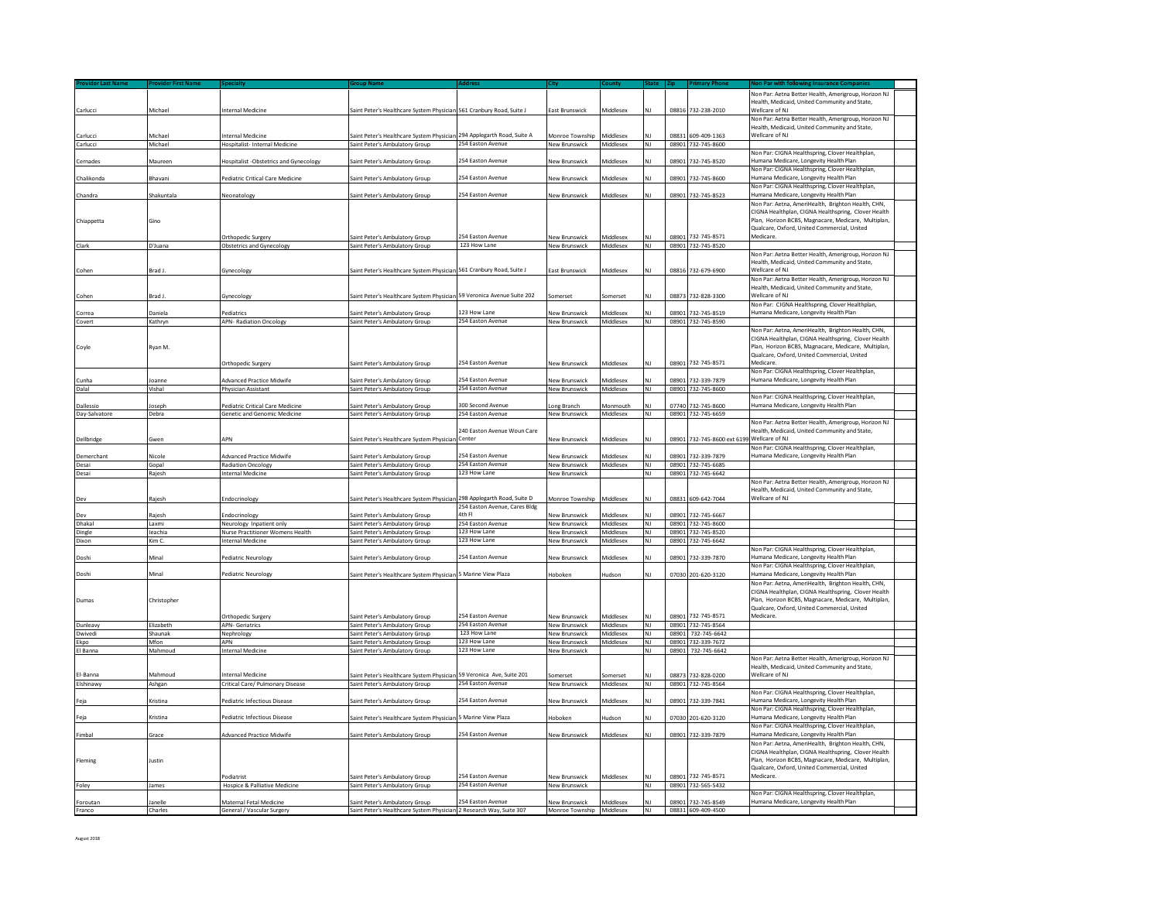|                    |             |                                               |                                                                        |                                         |                           |                  |                |       |                       | Non Par: Aetna Better Health, Amerigroup, Horizon NJ                                                       |  |
|--------------------|-------------|-----------------------------------------------|------------------------------------------------------------------------|-----------------------------------------|---------------------------|------------------|----------------|-------|-----------------------|------------------------------------------------------------------------------------------------------------|--|
|                    |             |                                               |                                                                        |                                         |                           |                  |                |       |                       | Health, Medicaid, United Community and State,                                                              |  |
| Carlucci           | Michael     | Internal Medicine                             | Saint Peter's Healthcare System Physician 561 Cranbury Road, Suite J   |                                         | East Brunswick            | Middlesex        |                | 08816 | 732-238-2010          | Wellcare of NJ                                                                                             |  |
|                    |             |                                               |                                                                        |                                         |                           |                  |                |       |                       | Non Par: Aetna Better Health, Amerigroup, Horizon NJ                                                       |  |
|                    |             |                                               |                                                                        |                                         |                           |                  |                |       |                       | Health, Medicaid, United Community and State.                                                              |  |
| Carlucci           | Michael     | Internal Medicine                             | aint Peter's Healthcare System Physician 294 Applegarth Road, Suite A  |                                         | Monroe Township           | Middlesex        |                |       | 08831 609-409-1363    | Wellcare of NJ                                                                                             |  |
| Carlucci           | Michael     | Hospitalist- Internal Medicine                | Saint Peter's Ambulatory Group                                         | 254 Easton Avenue                       | New Brunswick             | Middlesex        | NJ             |       | 08901 732-745-8600    | Non Par: CIGNA Healthspring, Clover Healthplan                                                             |  |
| Cernades           | Maureen     | <b>Hospitalist -Obstetrics and Gynecology</b> | Saint Peter's Ambulatory Group                                         | 254 Easton Avenue                       | <b>Vew Brunswick</b>      | Viddlesex        |                |       | 08901 732-745-8520    | Humana Medicare, Longevity Health Plan                                                                     |  |
|                    |             |                                               |                                                                        |                                         |                           |                  |                |       |                       | Non Par: CIGNA Healthspring, Clover Healthplan,                                                            |  |
| Chalikonda         | Bhavani     | Pediatric Critical Care Medicine              | aint Peter's Ambulatory Group                                          | 254 Easton Avenue                       | <b>Vew Brunswick</b>      | Viiddlesex       |                | 0890: | 732-745-8600          | Humana Medicare, Longevity Health Plan                                                                     |  |
|                    |             |                                               |                                                                        |                                         |                           |                  |                |       |                       | Non Par: CIGNA Healthspring, Clover Healthplan,                                                            |  |
| Chandra            | Shakuntala  | Neonatology                                   | iaint Peter's Ambulatory Group                                         | 254 Easton Avenue                       | New Brunswick             | Middlesex        | NΙ             | 08901 | 732-745-8523          | Humana Medicare, Longevity Health Plan                                                                     |  |
|                    |             |                                               |                                                                        |                                         |                           |                  |                |       |                       | Non Par: Aetna, AmeriHealth, Brighton Health, CHN,                                                         |  |
| Chiappetta         | Gino        |                                               |                                                                        |                                         |                           |                  |                |       |                       | CIGNA Healthplan, CIGNA Healthspring, Clover Health<br>Plan, Horizon BCBS, Magnacare, Medicare, Multiplan, |  |
|                    |             |                                               |                                                                        |                                         |                           |                  |                |       |                       | Qualcare, Oxford, United Commercial, United                                                                |  |
|                    |             | Orthopedic Surgery                            | aint Peter's Ambulatory Group                                          | 54 Easton Avenue                        | <b>New Brunswick</b>      | <b>Middlesex</b> |                | 08901 | 732-745-8571          | Medicare.                                                                                                  |  |
| Clark              | D'Juana     | <b>Obstetrics and Gynecology</b>              | Saint Peter's Ambulatory Group                                         | 123 How Lane                            | New Brunswick             | Middlesex        | NJ             |       | 08901 732-745-8520    |                                                                                                            |  |
|                    |             |                                               |                                                                        |                                         |                           |                  |                |       |                       | Non Par: Aetna Better Health, Amerigroup, Horizon NJ                                                       |  |
|                    |             |                                               |                                                                        |                                         |                           |                  |                |       |                       | Health, Medicaid, United Community and State,                                                              |  |
| Cohen              | Brad J.     | Gynecology                                    | Saint Peter's Healthcare System Physician 561 Cranbury Road, Suite J   |                                         | East Brunswick            | Middlesex        | NΙ             |       | 08816 732-679-6900    | Wellcare of NJ                                                                                             |  |
|                    |             |                                               |                                                                        |                                         |                           |                  |                |       |                       | Non Par: Aetna Better Health, Amerigroup, Horizon NJ<br>Health, Medicaid, United Community and State,      |  |
| Cohen              | Brad L      | Gynecology                                    | Gaint Peter's Healthcare System Physician 59 Veronica Avenue Suite 202 |                                         | Somerset                  | Somerset         | NI             |       | 08873 732-828-3300    | Wellcare of NJ                                                                                             |  |
|                    |             |                                               |                                                                        |                                         |                           |                  |                |       |                       | Non Par: CIGNA Healthspring, Clover Healthplan,                                                            |  |
| Correa             | Janiela     | Pediatrics                                    | iaint Peter's Ambulatory Group                                         | 123 How Lane                            | <b>Vew Brunswick</b>      | <b>Middlesex</b> |                | 08901 | 732-745-8519          | Humana Medicare, Longevity Health Plan                                                                     |  |
| Covert             | Kathryn     | <b>APN-Radiation Oncology</b>                 | Saint Peter's Ambulatory Group                                         | 254 Easton Avenue                       | New Brunswick             | Middlesex        | NI             |       | 08901 732-745-8590    |                                                                                                            |  |
|                    |             |                                               |                                                                        |                                         |                           |                  |                |       |                       | Non Par: Aetna, AmeriHealth, Brighton Health, CHN,                                                         |  |
|                    |             |                                               |                                                                        |                                         |                           |                  |                |       |                       | CIGNA Healthplan, CIGNA Healthspring, Clover Health                                                        |  |
| Coyle              | Rvan M.     |                                               |                                                                        |                                         |                           |                  |                |       |                       | Plan, Horizon BCBS, Magnacare, Medicare, Multiplan,                                                        |  |
|                    |             |                                               |                                                                        | <b>254 Faston Avenue</b>                |                           |                  |                |       | 08901 732-745-8571    | Qualcare, Oxford, United Commercial, United<br>Medicare.                                                   |  |
|                    |             | Orthopedic Surgery                            | aint Peter's Ambulatory Group                                          |                                         | New Brunswick             | Middlesex        |                |       |                       | Non Par: CIGNA Healthspring, Clover Healthplan,                                                            |  |
| Cunha              | loanne      | <b>Advanced Practice Midwife</b>              | iaint Peter's Ambulatory Group                                         | 254 Easton Avenue                       | New Brunswick             | coalhbiM         | NI             | 08901 | 732-339-7879          | Humana Medicare, Longevity Health Plan                                                                     |  |
| Dalal              | Vishal      | Physician Assistant                           | Saint Peter's Ambulatory Group                                         | 254 Easton Avenue                       | New Brunswick             | Middlesex        | NJ             |       | 08901 732-745-8600    |                                                                                                            |  |
|                    |             |                                               |                                                                        |                                         |                           |                  |                |       |                       | Non Par: CIGNA Healthspring, Clover Healthplan,                                                            |  |
| Dallessic          | oseph       | Pediatric Critical Care Medicine              | aint Peter's Ambulatory Group                                          | 300 Second Avenue                       | ong Branch                | Monmouth         |                |       | 07740 732-745-8600    | Humana Medicare, Longevity Health Plan                                                                     |  |
| Day-Salvatore      | Debra       | Genetic and Genomic Medicine                  | Saint Peter's Ambulatory Group                                         | 254 Easton Avenue                       | New Brunswick             | Middlesex        | NJ             |       | 08901 732-745-6659    |                                                                                                            |  |
|                    |             |                                               |                                                                        | 240 Easton Avenue Woun Care             |                           |                  |                |       |                       | Non Par: Aetna Better Health, Amerigroup, Horizon NJ<br>Health, Medicaid, United Community and State,      |  |
| Dellbridge         | Gwen        | APN                                           | aint Peter's Healthcare System Physicia                                | Center                                  | New Brunswick             | Middlesex        |                | 08901 | 732-745-8600 ext 6199 | Wellcare of NJ                                                                                             |  |
|                    |             |                                               |                                                                        |                                         |                           |                  |                |       |                       | Non Par: CIGNA Healthspring, Clover Healthplan,                                                            |  |
| Demerchant         | Nicole      | Advanced Practice Midwife                     | iaint Peter's Ambulatory Group                                         | 54 Easton Avenue                        | <b>Jew Brunswick</b>      | Viddlesex        |                | 08901 | 732-339-7879          | Humana Medicare, Longevity Health Plan                                                                     |  |
| Desai              | Gopal       | <b>Radiation Oncology</b>                     | Saint Peter's Ambulatory Group                                         | 254 Easton Avenue                       | New Brunswick             | Middlesex        | NJ             |       | 08901 732-745-6685    |                                                                                                            |  |
| Desai              | Rajesh      | <b>Internal Medicine</b>                      | Saint Peter's Ambulatory Group                                         | 123 How Lane                            | <b>New Brunswick</b>      |                  | $\overline{N}$ |       | 08901 732-745-6642    |                                                                                                            |  |
|                    |             |                                               |                                                                        |                                         |                           |                  |                |       |                       | Non Par: Aetna Better Health, Amerigroup, Horizon NJ                                                       |  |
|                    |             |                                               |                                                                        |                                         |                           |                  |                |       |                       | Health, Medicaid, United Community and State,                                                              |  |
| Dev                | Rajesh      | Endocrinology                                 | Saint Peter's Healthcare System Physician 298 Applegarth Road, Suite D |                                         | Monroe Township           | Middlesex        | N1             |       | 08831 609-642-7044    | Wellcare of NJ                                                                                             |  |
| Dev                | Raiesh      | Endocrinology                                 | aint Peter's Ambulatory Group                                          | 254 Easton Avenue, Cares Bldg<br>4th Fl | <b>Jew Brunswick</b>      | Viddlesex        |                | 08901 | 732-745-6667          |                                                                                                            |  |
| Dhakal             | Laxmi       | Neurology Inpatient only                      | Saint Peter's Ambulatory Group                                         | 254 Easton Avenue                       | New Brunswick             | Middlesex        | NJ             |       | 08901 732-745-8600    |                                                                                                            |  |
| Dingle             | leachia     | Nurse Practitioner Womens Health              | Saint Peter's Ambulatory Group                                         | 123 How Lane                            | <b>New Brunswick</b>      | Middlesex        | N1             |       | 08901 732-745-8520    |                                                                                                            |  |
| Dixon              | Kim C.      | <b>Internal Medicine</b>                      | Saint Peter's Ambulatory Group                                         | 123 How Lane                            | <b>New Brunswick</b>      | Middlesex        | <b>NJ</b>      |       | 08901 732-745-6642    |                                                                                                            |  |
|                    |             |                                               |                                                                        |                                         |                           |                  |                |       |                       | Ion Par: CIGNA Healthspring, Clover Healthplan,                                                            |  |
| Doshi              | Minal       | Pediatric Neurology                           | iaint Peter's Ambulatory Group                                         | 254 Easton Avenue                       | New Brunswick             | <b>Middlesex</b> |                | 08901 | 732-339-7870          | Humana Medicare, Longevity Health Plan                                                                     |  |
|                    |             |                                               |                                                                        |                                         |                           |                  |                |       |                       | Non Par: CIGNA Healthspring, Clover Healthplan,                                                            |  |
| Doshi              | Minal       | Pediatric Neurology                           | Saint Peter's Healthcare System Physician 5 Marine View Plaza          |                                         | Hoboken                   | ludson           |                |       | 07030 201-620-3120    | Humana Medicare, Longevity Health Plan                                                                     |  |
|                    |             |                                               |                                                                        |                                         |                           |                  |                |       |                       | Non Par: Aetna, AmeriHealth, Brighton Health, CHN,<br>CIGNA Healthplan, CIGNA Healthspring, Clover Health  |  |
| Dumas              | Christopher |                                               |                                                                        |                                         |                           |                  |                |       |                       | Plan, Horizon BCBS, Magnacare, Medicare, Multiplan,                                                        |  |
|                    |             |                                               |                                                                        |                                         |                           |                  |                |       |                       | Qualcare, Oxford, United Commercial, United                                                                |  |
|                    |             | Orthopedic Surgery                            | Saint Peter's Ambulatory Group                                         | 254 Easton Avenue                       | <b>New Brunswick</b>      | Middlesex        |                |       | 08901 732-745-8571    | Medicare.                                                                                                  |  |
| Dunleavy           | Flizabeth   | <b>APN- Geriatrics</b>                        | Saint Peter's Ambulatory Group                                         | 254 Easton Avenue                       | New Brunswick             | Middlesex        | <b>NJ</b>      |       | 08901 732-745-8564    |                                                                                                            |  |
| Dwivedi            | Shaunak     | Nephrology                                    | aint Peter's Ambulatory Group                                          | 123 How Lane                            | New Brunswick             | Middlesex        | NJ             | 08901 | 732-745-6642          |                                                                                                            |  |
| Ekpo               | Mfon        | APN                                           | Saint Peter's Ambulatory Group                                         | 123 How Lane                            | <b>New Brunswick</b>      | Middlesex        | N <sub>1</sub> |       | 08901 732-339-7672    |                                                                                                            |  |
| El Banna           | Mahmoud     | Internal Medicine                             | Saint Peter's Ambulatory Group                                         | 123 How Lane                            | New Brunswick             |                  | NJ             |       | 08901 732-745-6642    | Non Par: Aetna Better Health, Amerigroup, Horizon NJ                                                       |  |
|                    |             |                                               |                                                                        |                                         |                           |                  |                |       |                       | Health, Medicaid, United Community and State                                                               |  |
| El-Banna           | Mahmoud     | Internal Medicine                             | iaint Peter's Healthcare System Physician 59 Veronica Ave, Suite 201   |                                         | Somerset                  | Somerset         |                |       | 08873 732-828-0200    | Wellcare of NJ                                                                                             |  |
| Fishinawy          | Ashean      | Critical Care/ Pulmonary Disease              | Saint Peter's Ambulatory Group                                         | 254 Easton Avenue                       | New Brunswick             | Middlesex        | NΙ             |       | 08901 732-745-8564    |                                                                                                            |  |
|                    |             |                                               |                                                                        |                                         |                           |                  |                |       |                       | Non Par: CIGNA Healthspring, Clover Healthplan,                                                            |  |
| Feja               | Kristina    | Pediatric Infectious Disease                  | Saint Peter's Ambulatory Group                                         | 254 Easton Avenue                       | <b>New Brunswick</b>      | Middlesex        |                | 08901 | 732-339-7841          | Humana Medicare, Longevity Health Plan                                                                     |  |
|                    | Kristina    | Pediatric Infectious Disease                  |                                                                        | Marine View Plaza                       |                           |                  |                |       |                       | Non Par: CIGNA Healthspring, Clover Healthplan,                                                            |  |
| Feja               |             |                                               | Saint Peter's Healthcare System Physicia                               |                                         | Hoboken                   | ludson           |                |       | 07030 201-620-3120    | lumana Medicare, Longevity Health Plan                                                                     |  |
| Fimbal             | Grace       | Advanced Practice Midwife                     | Saint Peter's Ambulatory Group                                         | 54 Faston Avenue                        | New Brunswick             | Middlesex        |                |       | 08901 732-339-7879    | Non Par: CIGNA Healthspring, Clover Healthplan<br>Humana Medicare, Longevity Health Plan                   |  |
|                    |             |                                               |                                                                        |                                         |                           |                  |                |       |                       | Non Par: Aetna, AmeriHealth, Brighton Health, CHN,                                                         |  |
|                    |             |                                               |                                                                        |                                         |                           |                  |                |       |                       | CIGNA Healthplan, CIGNA Healthspring, Clover Health                                                        |  |
| Fleming            | Justin      |                                               |                                                                        |                                         |                           |                  |                |       |                       | Plan, Horizon BCBS, Magnacare, Medicare, Multiplan,                                                        |  |
|                    |             |                                               |                                                                        |                                         |                           |                  |                |       |                       | Qualcare, Oxford, United Commercial, United                                                                |  |
|                    |             | Podiatrist                                    | aint Peter's Ambulatory Group                                          | 254 Easton Avenue                       | New Brunswick             | Middlesex        |                | 08901 | 732-745-8571          | Medicare                                                                                                   |  |
| Foley              | James       | Hospice & Palliative Medicine                 | Saint Peter's Ambulatory Group                                         | 254 Easton Avenue                       | New Brunswick             |                  | NJ             |       | 08901 732-565-5432    |                                                                                                            |  |
|                    | anelle      | Maternal Fetal Medicine                       | Saint Peter's Ambulatory Group                                         | 254 Easton Avenue                       | New Brunswick             | Middlesex        | NI             |       | 08901 732-745-8549    | Non Par: CIGNA Healthspring, Clover Healthplan,<br>Humana Medicare, Longevity Health Plan                  |  |
| Foroutan<br>Franco | Charles     | General / Vascular Surgery                    | Saint Peter's Healthcare System Physician 2 Research Way, Suite 307    |                                         | Monroe Township Middlesex |                  | NJ             |       | 08831 609-409-4500    |                                                                                                            |  |
|                    |             |                                               |                                                                        |                                         |                           |                  |                |       |                       |                                                                                                            |  |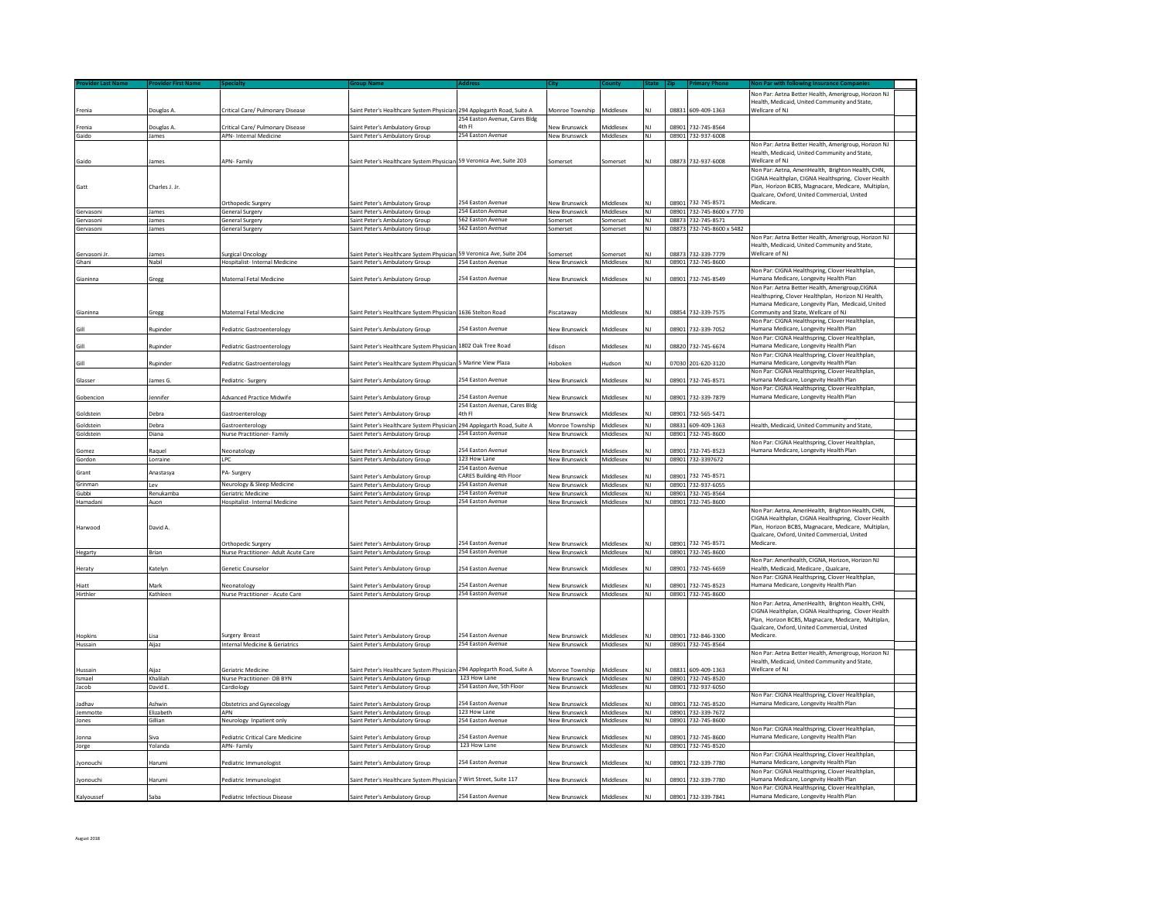| Frenia                 | Douglas A               | Critical Care/ Pulmonary Disease                           | Saint Peter's Healthcare System Physician 294 Applegarth Road, Suite A |                                                      | Monroe Township Middlesex             |                         |                 |                | 08831 609-409-1363                              | Non Par: Aetna Better Health, Amerigroup, Horizon NJ<br>Health, Medicaid, United Community and State.<br>Wellcare of NJ                                                                                                      |  |
|------------------------|-------------------------|------------------------------------------------------------|------------------------------------------------------------------------|------------------------------------------------------|---------------------------------------|-------------------------|-----------------|----------------|-------------------------------------------------|------------------------------------------------------------------------------------------------------------------------------------------------------------------------------------------------------------------------------|--|
|                        |                         |                                                            |                                                                        | 254 Easton Avenue, Cares Bldg                        |                                       |                         |                 |                |                                                 |                                                                                                                                                                                                                              |  |
| renia<br>Gaido         | Douglas A<br>James      | Critical Care/ Pulmonary Disease<br>APN- Internal Medicine | iaint Peter's Ambulatory Group<br>Saint Peter's Ambulatory Group       | 4th Fl<br>254 Easton Avenue                          | New Brunswick<br>New Brunswick        | Middlesex<br>Middlesex  | <b>NJ</b>       |                | 08901 732-745-8564<br>08901 732-937-6008        |                                                                                                                                                                                                                              |  |
|                        |                         |                                                            |                                                                        |                                                      |                                       |                         |                 |                |                                                 | Ion Par: Aetna Better Health, Amerigroup, Horizon NJ                                                                                                                                                                         |  |
| Gaido                  | James                   | <b>APN-Family</b>                                          | Saint Peter's Healthcare System Physician 59 Veronica Ave, Suite 203   |                                                      | Somerset                              | Somerset                | NJ              |                | 08873 732-937-6008                              | Health, Medicaid, United Community and State,<br>Wellcare of NJ                                                                                                                                                              |  |
|                        |                         |                                                            |                                                                        |                                                      |                                       |                         |                 |                |                                                 | Non Par: Aetna, AmeriHealth, Brighton Health, CHN,                                                                                                                                                                           |  |
| Gatt                   | Charles J. Jr.          |                                                            |                                                                        |                                                      |                                       |                         |                 |                |                                                 | CIGNA Healthplan, CIGNA Healthspring, Clover Health<br>Plan, Horizon BCBS, Magnacare, Medicare, Multiplan,<br>Qualcare, Oxford, United Commercial, United                                                                    |  |
|                        |                         | Orthopedic Surgery                                         | Saint Peter's Ambulatory Group                                         | 254 Easton Avenue                                    | New Brunswick                         | <i><b>Aiddlesex</b></i> |                 | 08901          | 732-745-8571                                    | Medicare.                                                                                                                                                                                                                    |  |
| Servasoni              | lames                   | General Surgery                                            | Saint Peter's Ambulatory Group                                         | 254 Easton Avenue<br>562 Easton Avenue               | <b>New Brunswick</b>                  | Middlesex               | <b>NJ</b>       |                | 08901 732-745-8600 x 7770                       |                                                                                                                                                                                                                              |  |
| Gervasoni<br>Gervasoni | James<br>James          | General Surgery<br>General Surgery                         | Saint Peter's Ambulatory Group<br>Saint Peter's Ambulatory Group       | 562 Easton Avenue                                    | Somerset<br>Somerset                  | Somerset<br>Somerset    | NJ<br><b>NJ</b> |                | 08873 732-745-8571<br>08873 732-745-8600 x 5482 |                                                                                                                                                                                                                              |  |
|                        |                         |                                                            |                                                                        |                                                      |                                       |                         |                 |                |                                                 | Von Par: Aetna Better Health, Amerigroup, Horizon NJ                                                                                                                                                                         |  |
| Gervasoni Jr           | lames                   | Surgical Oncology                                          | Saint Peter's Healthcare System Physician 59 Veronica Ave, Suite 204   |                                                      | Somerset                              | somerset                |                 |                | 08873 732-339-7779                              | Health, Medicaid, United Community and State<br>Wellcare of NJ                                                                                                                                                               |  |
| Ghani                  | Nabil                   | Hospitalist- Internal Medicine                             | Saint Peter's Ambulatory Group                                         | 254 Easton Avenue                                    | <b>New Brunswick</b>                  | Middlesex               | <b>NJ</b>       |                | 08901 732-745-8600                              |                                                                                                                                                                                                                              |  |
|                        |                         |                                                            |                                                                        | 254 Easton Avenue                                    |                                       | <b>Niddlesex</b>        |                 | 08901          |                                                 | Non Par: CIGNA Healthspring, Clover Healthplan,<br>Humana Medicare, Longevity Health Plan                                                                                                                                    |  |
| Gianinna               | Gregg                   | Maternal Fetal Medicine                                    | Saint Peter's Ambulatory Group                                         |                                                      | New Brunswick                         |                         | NI              |                | 732-745-8549                                    | Non Par: Aetna Better Health, Amerigroup, CIGNA                                                                                                                                                                              |  |
|                        |                         |                                                            |                                                                        |                                                      |                                       |                         |                 |                |                                                 | Healthspring, Clover Healthplan, Horizon NJ Health.<br>Humana Medicare, Longevity Plan, Medicaid, United                                                                                                                     |  |
| Gianinna               | Gregg                   | Maternal Fetal Medicine                                    | Saint Peter's Healthcare System Physician 1636 Stelton Road            |                                                      | Piscataway                            | Viddlesex               | ΝI              |                | 08854 732-339-7575                              | Community and State, Wellcare of NJ<br>Non Par: CIGNA Healthspring, Clover Healthplan,                                                                                                                                       |  |
| Gill                   | Rupinder                | Pediatric Gastroenterology                                 | Saint Peter's Ambulatory Group                                         | 254 Easton Avenue                                    | <b>New Brunswick</b>                  | <i><b>Aiddlesex</b></i> | NΙ              | 08901          | 732-339-7052                                    | lumana Medicare, Longevity Health Plan                                                                                                                                                                                       |  |
| Gill                   | Rupinder                | Pediatric Gastroenterology                                 | Saint Peter's Healthcare System Physician 1802 Oak Tree Road           |                                                      | Fdison                                | <i><b>Aiddlesex</b></i> | ΝI              | 08820          | 732-745-6674                                    | Non Par: CIGNA Healthspring, Clover Healthplan<br>lumana Medicare, Longevity Health Plan                                                                                                                                     |  |
| âШ                     | Rupinder                | Pediatric Gastroenterology                                 | Saint Peter's Healthcare System Physiciar                              | <b>5 Marine View Plaza</b>                           | Hoboken                               | ludson                  | NJ              | 07030          | 201-620-3120                                    | Non Par: CIGNA Healthspring, Clover Healthplan,<br>lumana Medicare, Longevity Health Plan                                                                                                                                    |  |
| Glasser                | lames G.                | Pediatric- Surgery                                         | Saint Peter's Ambulatory Group                                         | 254 Easton Avenue                                    | New Brunswick                         | <b>Aiddlesex</b>        | NJ              | 08901          | 732-745-8571                                    | Non Par: CIGNA Healthspring, Clover Healthplan,<br>Iumana Medicare, Longevity Health Plan                                                                                                                                    |  |
| Gobencion              | lennifer                | Advanced Practice Midwife                                  | Saint Peter's Ambulatory Group                                         | 254 Easton Avenue                                    | New Brunswick                         | <i><b>Middlesex</b></i> |                 | 08901          | 732-339-7879                                    | Non Par: CIGNA Healthspring, Clover Healthplan,<br>lumana Medicare, Longevity Health Plan                                                                                                                                    |  |
| Goldstein              | Debra                   | Gastroenterology                                           | Saint Peter's Ambulatory Group                                         | 254 Easton Avenue, Cares Bldg<br>4th Fl              | New Brunswick                         | Middlesex               |                 | 08901          | 732-565-5471                                    |                                                                                                                                                                                                                              |  |
|                        |                         |                                                            |                                                                        |                                                      |                                       |                         |                 |                |                                                 | Health, Medicaid, United Community and State                                                                                                                                                                                 |  |
| Goldstein<br>Goldstein | ebra<br>Diana           | <b>Gastroenterology</b><br>Nurse Practitioner- Family      | iaint Peter's Healthcare System Phys<br>Saint Peter's Ambulatory Group | 294 Applegarth Road, Suite A<br>254 Easton Avenue    | Monroe Township<br>New Brunswick      | Viddlesex<br>Middlesex  | NJ              | 08831<br>08901 | 609-409-1363<br>732-745-8600                    |                                                                                                                                                                                                                              |  |
|                        |                         |                                                            |                                                                        |                                                      |                                       |                         |                 |                |                                                 | Non Par: CIGNA Healthspring, Clover Healthplan,                                                                                                                                                                              |  |
| Gomez                  | Raguel                  | Neonatology                                                | Saint Peter's Ambulatory Group                                         | 254 Easton Avenue                                    | New Brunswick                         | <b>Aiddlesex</b>        |                 | 08901          | 732-745-8523                                    | lumana Medicare, Longevity Health Plan                                                                                                                                                                                       |  |
| Gordon                 | Lorraine                | <b>LPC</b>                                                 | Saint Peter's Ambulatory Group                                         | 123 How Lane                                         | New Brunswick                         | Middlesex               | NI              |                | 08901 732-3397672                               |                                                                                                                                                                                                                              |  |
| Grant                  | Anastasya               | PA- Surgery                                                | Saint Peter's Ambulatory Group                                         | 254 Easton Avenue<br><b>CARES Building 4th Floor</b> | New Brunswick                         | Middlesex               |                 | 08901          | 732-745-8571                                    |                                                                                                                                                                                                                              |  |
| Grinman                | Lev                     | Neurology & Sleep Medicine                                 | Saint Peter's Ambulatory Group                                         | 254 Easton Avenue                                    | New Brunswick                         | Middlesex               | NJ              | 08901          | 732-937-6055                                    |                                                                                                                                                                                                                              |  |
| <b>Gubbi</b>           | Renukamba               | <b>Geriatric Medicine</b>                                  | Saint Peter's Ambulatory Group                                         | 254 Easton Avenue                                    | <b>New Brunswick</b>                  | Middlesex               | NI              |                | 08901 732-745-8564                              |                                                                                                                                                                                                                              |  |
| <b>Hamadani</b>        | Auon                    | Hospitalist- Internal Medicine                             | Saint Peter's Ambulatory Group                                         | 254 Easton Avenue                                    | New Brunswick                         | Middlesex               | ΝI              | 08901          | 732-745-8600                                    |                                                                                                                                                                                                                              |  |
| larwood                | David A.                | <b>Orthopedic Surgery</b>                                  | Saint Peter's Ambulatory Group                                         | 54 Easton Avenue                                     | New Brunswick                         | xezelbbiN               |                 | 08901          | 732-745-8571                                    | Non Par: Aetna, AmeriHealth, Brighton Health, CHN,<br>CIGNA Healthplan, CIGNA Healthspring, Clover Health<br>Plan, Horizon BCBS, Magnacare, Medicare, Multiplan,<br>Qualcare, Oxford, United Commercial, United<br>Medicare. |  |
| legarty                | Brian                   | Nurse Practitioner- Adult Acute Care                       | Saint Peter's Ambulatory Group                                         | 254 Easton Avenue                                    | New Brunswick                         | Middlesex               | NJ              |                | 08901 732-745-8600                              |                                                                                                                                                                                                                              |  |
| leraty                 | Katelyn                 | Genetic Counselor                                          | Saint Peter's Ambulatory Group                                         | 254 Easton Avenue                                    | New Brunswick                         | Middlesex               | NJ              | 08901          | 732-745-6659                                    | Non Par: Amerihealth, CIGNA, Horizon, Horizon NJ<br>lealth, Medicaid, Medicare, Qualcare,                                                                                                                                    |  |
|                        |                         |                                                            |                                                                        |                                                      |                                       |                         |                 |                |                                                 | Non Par: CIGNA Healthspring, Clover Healthplan,                                                                                                                                                                              |  |
| liatt<br>Hirthler      | <b>Mark</b><br>Kathleen | Neonatology<br>Nurse Practitioner - Acute Care             | Saint Peter's Ambulatory Group<br>Saint Peter's Ambulatory Group       | 254 Easton Avenue<br>254 Easton Avenue               | New Brunswick<br><b>New Brunswick</b> | Middlesex<br>Middlesex  | <b>NJ</b>       | 08901          | 732-745-8523<br>08901 732-745-8600              | Humana Medicare, Longevity Health Plan                                                                                                                                                                                       |  |
|                        |                         |                                                            |                                                                        |                                                      |                                       |                         |                 |                |                                                 | Non Par: Aetna, AmeriHealth, Brighton Health, CHN                                                                                                                                                                            |  |
| <b>Hopkins</b>         | isa                     | Surgery Breast                                             | iaint Peter's Ambulatory Group                                         | 254 Easton Avenue                                    | New Brunswick                         | diddlesex               |                 | 08901          | 732-846-3300                                    | CIGNA Healthplan, CIGNA Healthspring, Clover Health<br>Plan, Horizon BCBS, Magnacare, Medicare, Multiplan,<br>Qualcare, Oxford, United Commercial, United<br>Medicare.                                                       |  |
| Hussain                | Aijaz                   | Internal Medicine & Geriatrics                             | Saint Peter's Ambulatory Group                                         | 254 Faston Avenue                                    | New Brunswick                         | Middlesex               | NJ              | 08901          | 732-745-8564                                    |                                                                                                                                                                                                                              |  |
| lussain                | Aiiaz                   | Seriatric Medicine                                         | Saint Peter's Healthcare System Physician                              | 294 Applegarth Road, Suite A                         | Monroe Township                       | <b>Middlesex</b>        |                 | 08831          | 609-409-1363                                    | Non Par: Aetna Better Health, Amerigroup, Horizon NJ<br>Health, Medicaid, United Community and State,<br>Wellcare of NJ                                                                                                      |  |
| smael                  | Khalilah                | Nurse Practitioner- OB BYN                                 | Saint Peter's Ambulatory Group                                         | 123 How Lane                                         | New Brunswick                         | Middlesex               | <b>NJ</b>       |                | 08901 732-745-8520                              |                                                                                                                                                                                                                              |  |
| lacob                  | David E.                | Cardiology                                                 | Saint Peter's Ambulatory Group                                         | 254 Easton Ave, 5th Floor                            | New Brunswick                         | Middlesex               | NI              | 08901          | 732-937-6050                                    |                                                                                                                                                                                                                              |  |
| adhav                  | Ashwin                  | <b>Obstetrics and Gynecology</b>                           | Saint Peter's Ambulatory Group                                         | 54 Easton Avenue                                     | New Brunswick                         | <b>Aiddlesex</b>        |                 | 08901          | 732-745-8520                                    | Non Par: CIGNA Healthspring, Clover Healthplan,<br>Iumana Medicare, Longevity Health Plan                                                                                                                                    |  |
| emmotte                | Elizabeth               | APN                                                        | Saint Peter's Ambulatory Group                                         | 123 How Lane                                         | New Brunswick                         | Middlesex               | NJ              |                | 08901 732-339-7672                              |                                                                                                                                                                                                                              |  |
| lones                  | Gillian                 | Neurology Inpatient only                                   | Saint Peter's Ambulatory Group                                         | 254 Easton Avenue                                    | <b>New Brunswick</b>                  | Middlesex               | NJ              |                | 08901 732-745-8600                              |                                                                                                                                                                                                                              |  |
| lonna                  | Siva                    |                                                            |                                                                        | 254 Easton Avenue                                    | New Brunswick                         | ceaelbbin               |                 | 08901          | 732-745-8600                                    | Non Par: CIGNA Healthspring, Clover Healthplan,<br>Jumana Medicare, Longevity Health Plan                                                                                                                                    |  |
| orge                   | Yolanda                 | Pediatric Critical Care Medicine<br><b>APN-Family</b>      | Saint Peter's Ambulatory Group<br>Saint Peter's Ambulatory Group       | 123 How Lane                                         | New Brunswick                         | Middlesex               | NJ              | 08901          | 732-745-8520                                    |                                                                                                                                                                                                                              |  |
| Jyonouchi              | Harumi                  | Pediatric Immunologist                                     | Saint Peter's Ambulatory Group                                         | 254 Easton Avenue                                    | New Brunswick                         | Middlesex               | NJ              |                | 08901 732-339-7780                              | Non Par: CIGNA Healthspring, Clover Healthplan<br>Humana Medicare, Longevity Health Plan                                                                                                                                     |  |
|                        |                         |                                                            |                                                                        |                                                      |                                       |                         |                 |                |                                                 | Non Par: CIGNA Healthspring, Clover Healthplan,                                                                                                                                                                              |  |
| Jyonouchi              | larumi                  | Pediatric Immunologist                                     | iaint Peter's Healthcare System Physicia                               | 7 Wirt Street, Suite 117                             | New Brunswick                         | <b>Aiddlesex</b>        |                 | 0890:          | 32-339-7780                                     | Humana Medicare, Longevity Health Plan<br>Non Par: CIGNA Healthspring, Clover Healthplan,                                                                                                                                    |  |
| Kalyoussef             | Saba                    | <b>Pediatric Infectious Disease</b>                        | Saint Peter's Ambulatory Group                                         | 254 Faston Avenue                                    | New Brunswick                         | Middlesex               | ΝI              | 08901          | 732-339-7841                                    | Humana Medicare, Longevity Health Plan                                                                                                                                                                                       |  |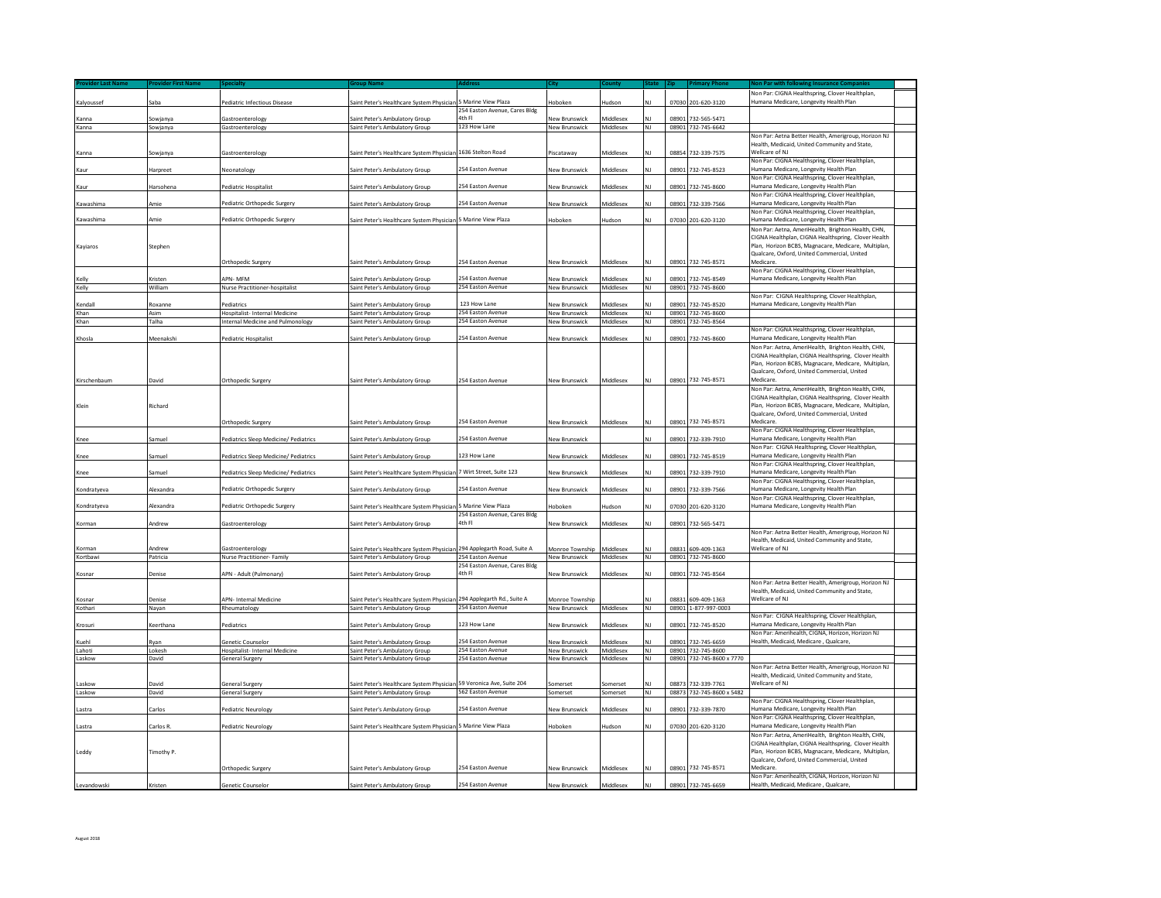| Kalyoussef       | Saba               | Pediatric Infectious Disease                                              | Saint Peter's Healthcare System Physician 5 Marine View Plaza               |                                                   | Hoboken                                      | Hudson                  |                 |       | 07030 201-620-3120                              | Von Par: CIGNA Healthspring, Clover Healthplan<br>Humana Medicare, Longevity Health Plan                                                                               |  |
|------------------|--------------------|---------------------------------------------------------------------------|-----------------------------------------------------------------------------|---------------------------------------------------|----------------------------------------------|-------------------------|-----------------|-------|-------------------------------------------------|------------------------------------------------------------------------------------------------------------------------------------------------------------------------|--|
| <b>Canna</b>     | Sowjanya           | <b>Gastroenterology</b>                                                   | iaint Peter's Ambulatory Group                                              | 254 Easton Avenue, Cares Bldg<br>4th Fl           | <b>New Brunswick</b>                         | diddlesex               |                 | 08901 | 732-565-5471                                    |                                                                                                                                                                        |  |
| Kanna            | Sowjanya           | Gastroenterology                                                          | Saint Peter's Ambulatory Group                                              | 123 How Lane                                      | <b>New Brunswick</b>                         | Middlesex               | NI              |       | 08901 732-745-6642                              |                                                                                                                                                                        |  |
|                  |                    |                                                                           |                                                                             |                                                   |                                              |                         |                 |       |                                                 | Non Par: Aetna Better Health, Amerigroup, Horizon NJ                                                                                                                   |  |
| Kanna            | Sowjanya           | Gastroenterology                                                          | Saint Peter's Healthcare System Physician 1636 Stelton Road                 |                                                   | Piscataway                                   | Viddlesex               |                 |       | 08854 732-339-7575                              | Health, Medicaid, United Community and State,<br>Wellcare of NJ                                                                                                        |  |
| Kaur             | Harpreet           | Neonatology                                                               | iaint Peter's Ambulatory Group                                              | 254 Easton Avenue                                 | <b>New Brunswick</b>                         | cozolbbiN               | NΙ              |       | 08901 732-745-8523                              | Non Par: CIGNA Healthspring, Clover Healthplan,<br>Humana Medicare, Longevity Health Plan                                                                              |  |
| Kaur             | Harsohena          | Pediatric Hospitalist                                                     | Saint Peter's Ambulatory Group                                              | 254 Easton Avenue                                 | New Brunswick                                | Viddlesex               | NΙ              | 08901 | 732-745-8600                                    | Non Par: CIGNA Healthspring, Clover Healthplan,<br>Humana Medicare, Longevity Health Plan                                                                              |  |
| Kawashima        | <b>Amie</b>        | Pediatric Orthopedic Surgery                                              | aint Peter's Ambulatory Group                                               | 254 Easton Avenue                                 | New Brunswick                                | <i><b>Aiddlesex</b></i> |                 | 08901 | 732-339-7566                                    | Von Par: CIGNA Healthspring, Clover Healthplan,<br>Humana Medicare, Longevity Health Plan                                                                              |  |
| Kawashima        | Amie               |                                                                           |                                                                             | 5 Marine View Plaza                               |                                              |                         | NΙ              |       |                                                 | Non Par: CIGNA Healthspring, Clover Healthplan,                                                                                                                        |  |
|                  |                    | Pediatric Orthopedic Surgery                                              | Saint Peter's Healthcare System Physician                                   |                                                   | Hoboken                                      | ludson                  |                 |       | 07030 201-620-3120                              | Humana Medicare, Longevity Health Plan<br>Non Par: Aetna, AmeriHealth, Brighton Health, CHN,                                                                           |  |
| Kayiaros         | Stephen            |                                                                           |                                                                             |                                                   |                                              |                         |                 |       |                                                 | CIGNA Healthplan, CIGNA Healthspring, Clover Health<br>Plan. Horizon BCBS, Magnacare, Medicare, Multiplan<br>Qualcare, Oxford, United Commercial, United               |  |
|                  |                    | Orthopedic Surgery                                                        | Saint Peter's Ambulatory Group                                              | 254 Easton Avenue                                 | <b>New Brunswick</b>                         | Middlesex               |                 | 08901 | 732-745-8571                                    | Medicare.<br>Non Par: CIGNA Healthspring, Clover Healthplan,                                                                                                           |  |
| Kelly            | Kristen            | <b>NPN-MFM</b>                                                            | aint Peter's Ambulatory Group                                               | 254 Easton Avenue                                 | <b>New Brunswick</b>                         | <b>Middlesex</b>        |                 |       | 08901 732-745-8549                              | Humana Medicare, Longevity Health Plan                                                                                                                                 |  |
| Kelly            | William            | Nurse Practitioner-hospitalist                                            | Saint Peter's Ambulatory Group                                              | 254 Easton Avenue                                 | <b>New Brunswick</b>                         | Middlesex               | NJ              |       | 08901 732-745-8600                              | Non Par: CIGNA Healthspring, Clover Healthplan,                                                                                                                        |  |
| endal            | Roxanne            | ediatrics                                                                 | Saint Peter's Ambulatory Group                                              | 123 How Lane<br>254 Easton Avenue                 | New Brunswick                                | <i><b>Aiddlesex</b></i> |                 | 08901 | 732-745-8520                                    | Iumana Medicare, Longevity Health Plan                                                                                                                                 |  |
| Khan<br>Khan     | Asim<br>Talha      | <b>Hospitalist-Internal Medicine</b><br>Internal Medicine and Pulmonology | Saint Peter's Ambulatory Group<br>Saint Peter's Ambulatory Group            | 254 Easton Avenue                                 | <b>New Brunswick</b><br><b>New Brunswick</b> | Middlesey<br>Middlesex  | NI<br>NJ        | 08901 | 08901 732-745-8600<br>732-745-8564              |                                                                                                                                                                        |  |
|                  |                    |                                                                           |                                                                             |                                                   |                                              |                         |                 |       |                                                 | Non Par: CIGNA Healthspring, Clover Healthplan,                                                                                                                        |  |
| Khosla           | Meenakshi          | Pediatric Hospitalist                                                     | Saint Peter's Ambulatory Group                                              | 254 Easton Avenue                                 | <b>New Brunswick</b>                         | Middlesex               |                 | 08901 | 732-745-8600                                    | Humana Medicare, Longevity Health Plan<br>Non Par: Aetna, AmeriHealth, Brighton Health, CHN,                                                                           |  |
|                  |                    |                                                                           |                                                                             |                                                   |                                              |                         |                 |       |                                                 | CIGNA Healthplan, CIGNA Healthspring, Clover Health<br>Plan, Horizon BCBS, Magnacare, Medicare, Multiplan<br>Qualcare, Oxford, United Commercial, United               |  |
| Kirschenbaum     | David              | Orthopedic Surgery                                                        | iaint Peter's Ambulatory Group                                              | 254 Easton Avenue                                 | New Brunswick                                | Middlesex               |                 |       | 08901 732-745-8571                              | Medicare<br>Non Par: Aetna, AmeriHealth, Brighton Health, CHN.                                                                                                         |  |
| Klein            | Richard            | Orthopedic Surgery                                                        | Saint Peter's Ambulatory Group                                              | 254 Easton Avenue                                 | <b>New Brunswick</b>                         | Middlesex               |                 |       | 08901 732-745-8571                              | CIGNA Healthplan, CIGNA Healthspring, Clover Health<br>Plan, Horizon BCBS, Magnacare, Medicare, Multiplan,<br>Qualcare, Oxford, United Commercial, United<br>Medicare. |  |
|                  |                    |                                                                           |                                                                             |                                                   |                                              |                         |                 |       |                                                 | Non Par: CIGNA Healthspring, Clover Healthplan,                                                                                                                        |  |
| Knee             | Samuel             | Pediatrics Sleep Medicine/ Pediatrics                                     | Saint Peter's Ambulatory Group                                              | 254 Easton Avenue                                 | <b>New Brunswick</b>                         |                         |                 |       | 08901 732-339-7910                              | Iumana Medicare, Longevity Health Plan<br>Non Par: CIGNA Healthspring, Clover Healthplan,                                                                              |  |
| Knee             | Samuel             | Pediatrics Sleep Medicine/ Pediatrics                                     | iaint Peter's Ambulatory Group                                              | 123 How Lane                                      | <b>New Brunswick</b>                         | cozolbbiN               |                 |       | 08901 732-745-8519                              | Humana Medicare, Longevity Health Plan<br>Non Par: CIGNA Healthspring, Clover Healthplan                                                                               |  |
| Knee             | Samuel             | Pediatrics Sleep Medicine/ Pediatrics                                     | Saint Peter's Healthcare System Physician                                   | 7 Wirt Street, Suite 123                          | <b>New Brunswick</b>                         | xezelbbiN               | NΙ              | 08901 | 732-339-7910                                    | Humana Medicare, Longevity Health Plan<br>Non Par: CIGNA Healthspring, Clover Healthplan,                                                                              |  |
| Kondratyeva      | Alexandra          | Pediatric Orthopedic Surgery                                              | iaint Peter's Ambulatory Group                                              | 254 Easton Avenue                                 | New Brunswick                                | <b>Middlesex</b>        | ΝI              | 08901 | 732-339-7566                                    | Humana Medicare, Longevity Health Plan<br>Non Par: CIGNA Healthspring, Clover Healthplan,                                                                              |  |
| Kondratveva      | Alexandra          | Pediatric Orthopedic Surgery                                              | Saint Peter's Healthcare System Physician                                   | 5 Marine View Plaza                               | loboken                                      | ludson                  | N١              |       | 07030 201-620-3120                              | Humana Medicare, Longevity Health Plan                                                                                                                                 |  |
| Korman           | Andrew             | <b>Gastroenterology</b>                                                   | aint Peter's Ambulatory Group                                               | 254 Easton Avenue, Cares Bldg<br>4th Fl           | New Brunswick                                | <i>Aiddlesex</i>        |                 | 08901 | 732-565-5471                                    |                                                                                                                                                                        |  |
| Corman           |                    | <b>Gastroenterology</b>                                                   |                                                                             |                                                   |                                              |                         |                 |       |                                                 | Non Par: Aetna Better Health, Amerigroup, Horizon NJ<br>Health, Medicaid, United Community and State,<br>Vellcare of NJ                                                |  |
| Kortbawi         | Andrew<br>Patricia | Nurse Practitioner- Family                                                | iaint Peter's Healthcare System Physiciar<br>Saint Peter's Ambulatory Group | 294 Applegarth Road, Suite A<br>254 Easton Avenue | Monroe Township<br>New Brunswick             | xezelbbiN<br>Middlesex  | NI              | 08831 | 609-409-1363<br>08901 732-745-8600              |                                                                                                                                                                        |  |
|                  |                    |                                                                           |                                                                             | 254 Easton Avenue, Cares Bldg                     |                                              |                         |                 |       |                                                 |                                                                                                                                                                        |  |
| Kosnar           | Denise             | APN - Adult (Pulmonary)                                                   | Saint Peter's Ambulatory Group                                              | 4th Fl                                            | New Brunswick                                | Middlesex               |                 |       | 08901 732-745-8564                              | Non Par: Aetna Better Health, Amerigroup, Horizon NJ                                                                                                                   |  |
|                  |                    |                                                                           |                                                                             |                                                   |                                              |                         |                 |       |                                                 | Health, Medicaid, United Community and State,                                                                                                                          |  |
| Kosnar           | Denise             | APN-Internal Medicine                                                     | iaint Peter's Healthcare System Physician                                   | 294 Applegarth Rd., Suite A<br>254 Easton Avenue  | Monroe Township                              |                         | NJ              | 08831 | 609-409-1363                                    | Wellcare of NJ                                                                                                                                                         |  |
| Kothari          | Nayan              | Rheumatology                                                              | Saint Peter's Ambulatory Group                                              |                                                   | <b>New Brunswick</b>                         | Middlesex               |                 |       | 08901 1-877-997-0003                            | Non Par: CIGNA Healthspring, Clover Healthplan,                                                                                                                        |  |
| Krosuri          | Keerthana          | Pediatrics                                                                | Saint Peter's Ambulatory Group                                              | 123 How Lane                                      | <b>New Brunswick</b>                         | Viddlesex               |                 | 08901 | 732-745-8520                                    | Humana Medicare, Longevity Health Plan<br>Non Par: Amerihealth, CIGNA, Horizon, Horizon NJ                                                                             |  |
| Kuehl            | Rvan               | <b>Senetic Counselor</b>                                                  | Saint Peter's Ambulatory Group                                              | 254 Easton Avenue<br>254 Easton Avenue            | <b>New Brunswick</b>                         | <i>Aiddlesex</i>        |                 |       | 08901 732-745-6659                              | Health, Medicaid, Medicare, Qualcare,                                                                                                                                  |  |
| Lahoti<br>Laskow | Lokesh<br>David    | Hospitalist- Internal Medicine<br>General Surgery                         | Saint Peter's Ambulatory Group<br>Saint Peter's Ambulatory Group            | 254 Easton Avenue                                 | New Brunswick<br>New Brunswick               | Middlesex<br>Middlesex  | NJ<br><b>NJ</b> |       | 08901 732-745-8600<br>08901 732-745-8600 x 7770 |                                                                                                                                                                        |  |
|                  |                    |                                                                           |                                                                             |                                                   |                                              |                         |                 |       |                                                 | Non Par: Aetna Better Health, Amerigroup, Horizon NJ<br>Health, Medicaid, United Community and State,                                                                  |  |
| askow            | David              | <b>General Surgery</b>                                                    | Saint Peter's Healthcare System Physician 59 Veronica Ave, Suite 204        |                                                   | Somerset                                     | Somerset                |                 |       | 08873 732-339-7761                              | Wellcare of NJ                                                                                                                                                         |  |
| Laskow           | David              | General Surgery                                                           | Saint Peter's Ambulatory Group                                              | 562 Easton Avenue                                 | Somerset                                     | Somerset                | NJ              |       | 08873 732-745-8600 x 5482                       |                                                                                                                                                                        |  |
| .astra           | Carlos             | Pediatric Neurology                                                       | aint Peter's Ambulatory Group                                               | 254 Easton Avenue                                 | <b>New Brunswick</b>                         | <b>Middlesex</b>        | N1              | 0890: | 732-339-7870                                    | Non Par: CIGNA Healthspring, Clover Healthplan,<br>Humana Medicare, Longevity Health Plan                                                                              |  |
| Lastra           | Carlos R           | Pediatric Neurology                                                       | Saint Peter's Healthcare System Physician                                   | 5 Marine View Plaza                               | Hoboken                                      | ludson                  | мı              |       | 07030 201-620-3120                              | Non Par: CIGNA Healthspring, Clover Healthplan,<br>Humana Medicare, Longevity Health Plan                                                                              |  |
|                  |                    |                                                                           |                                                                             |                                                   |                                              |                         |                 |       |                                                 | Non Par: Aetna, AmeriHealth, Brighton Health, CHN,                                                                                                                     |  |
| Leddy            | Timothy P.         |                                                                           |                                                                             |                                                   |                                              |                         |                 |       |                                                 | CIGNA Healthplan, CIGNA Healthspring, Clover Health<br>Plan. Horizon BCBS, Magnacare, Medicare, Multiplan.<br>Qualcare, Oxford, United Commercial, United              |  |
|                  |                    | Orthopedic Surgery                                                        | Saint Peter's Ambulatory Group                                              | 254 Easton Avenue                                 | New Brunswick                                | Middlesex               |                 | 08901 | 732-745-8571                                    | Medicare.<br>Non Par: Amerihealth, CIGNA, Horizon, Horizon NJ                                                                                                          |  |
| Levandowski      | Kristen            | <b>Genetic Counselor</b>                                                  | Saint Peter's Ambulatory Group                                              | 254 Easton Avenue                                 | <b>New Brunswick</b>                         | Middlesex               | NI              |       | 08901 732-745-6659                              | Health, Medicaid, Medicare, Qualcare,                                                                                                                                  |  |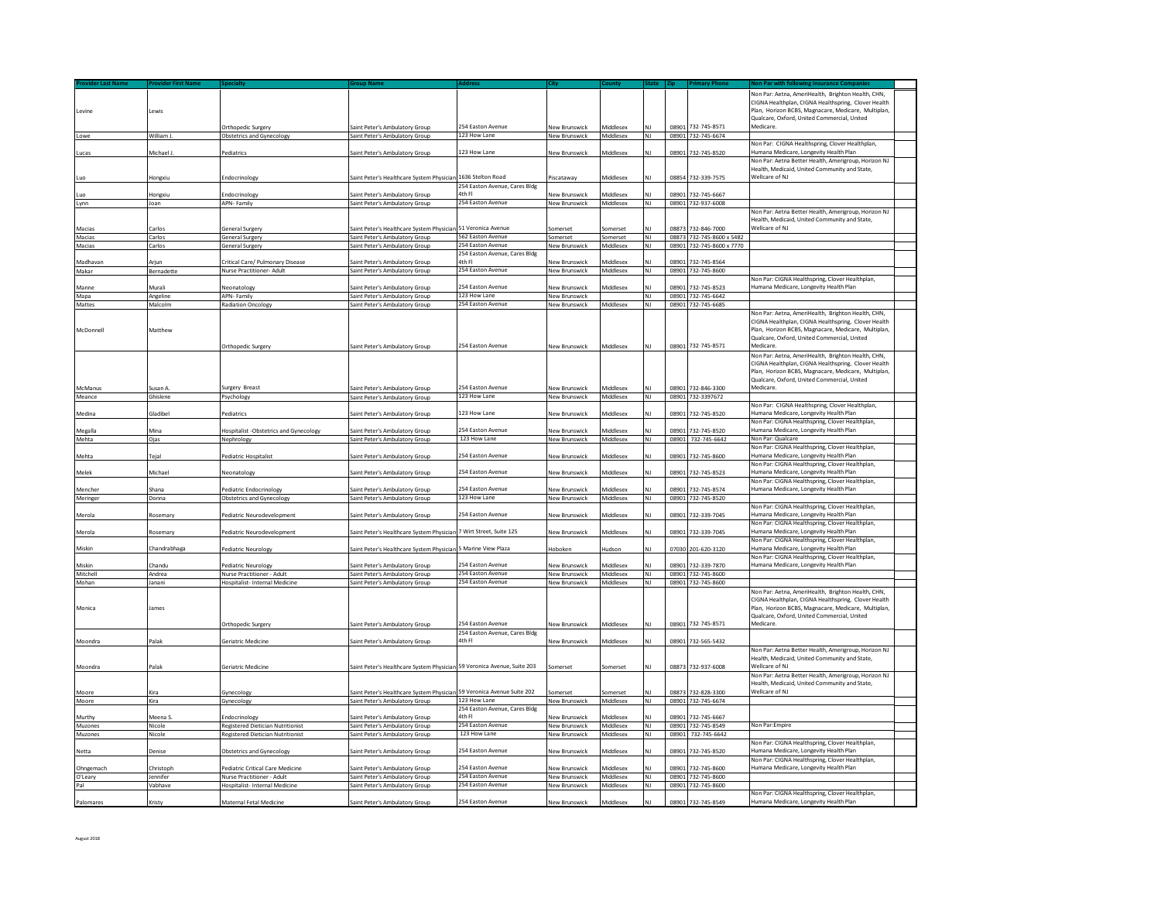|                      |                       |                                                              |                                                                         |                                              |                                       |                        |                             |       |                                          | Jon Par: Aetna, AmeriHealth, Brighton Health, CHN,                                                         |
|----------------------|-----------------------|--------------------------------------------------------------|-------------------------------------------------------------------------|----------------------------------------------|---------------------------------------|------------------------|-----------------------------|-------|------------------------------------------|------------------------------------------------------------------------------------------------------------|
|                      |                       |                                                              |                                                                         |                                              |                                       |                        |                             |       |                                          | CIGNA Healthplan, CIGNA Healthspring, Clover Health                                                        |
| Levine               | Lewis                 |                                                              |                                                                         |                                              |                                       |                        |                             |       |                                          | Plan, Horizon BCBS, Magnacare, Medicare, Multiplan,                                                        |
|                      |                       |                                                              |                                                                         | <b>254 Easton Avenue</b>                     |                                       |                        |                             |       |                                          | Qualcare, Oxford, United Commercial, United                                                                |
| Lowe                 | William J             | Orthopedic Surgery<br><b>Obstetrics and Gynecology</b>       | Saint Peter's Ambulatory Group<br>Saint Peter's Ambulatory Group        | 123 How Lane                                 | New Brunswick<br>New Brunswick        | Middlesex<br>Middlesex | <b>NJ</b>                   |       | 08901 732-745-8571<br>08901 732-745-6674 | Medicare.                                                                                                  |
|                      |                       |                                                              |                                                                         |                                              |                                       |                        |                             |       |                                          | Non Par: CIGNA Healthspring, Clover Healthplan,                                                            |
| ucas                 | Aichael J             | ediatrics                                                    | aint Peter's Ambulatory Group                                           | 123 How Lane                                 | <b>New Brunswick</b>                  | Middlesex              |                             | 08901 | 732-745-8520                             | lumana Medicare, Longevity Health Plan                                                                     |
|                      |                       |                                                              |                                                                         |                                              |                                       |                        |                             |       |                                          | Non Par: Aetna Better Health, Amerigroup, Horizon NJ                                                       |
|                      |                       |                                                              |                                                                         |                                              |                                       |                        |                             |       |                                          | Health, Medicaid, United Community and State,                                                              |
|                      | Hongxiu               | <b>Indocrinology</b>                                         | aint Peter's Healthcare System Physician                                | 1636 Stelton Road                            | Piscataway                            | Middlesex              | NI                          |       | 08854 732-339-7575                       | Wellcare of NJ                                                                                             |
|                      |                       |                                                              |                                                                         | 254 Easton Avenue, Cares Bldg<br>4th Fl      |                                       |                        |                             |       |                                          |                                                                                                            |
| Lynn                 | longxiu<br>Joan       | indocrinology<br>APN- Family                                 | aint Peter's Ambulatory Group<br>Saint Peter's Ambulatory Group         | 254 Easton Avenue                            | <b>New Brunswick</b><br>New Brunswick | Middlesex<br>Middlesex | <b>NJ</b>                   | 08901 | 732-745-6667<br>08901 732-937-6008       |                                                                                                            |
|                      |                       |                                                              |                                                                         |                                              |                                       |                        |                             |       |                                          | Non Par: Aetna Better Health, Amerigroup, Horizon NJ                                                       |
|                      |                       |                                                              |                                                                         |                                              |                                       |                        |                             |       |                                          | Health, Medicaid, United Community and State,                                                              |
| Macias               | Carlos                | General Surgery                                              | saint Peter's Healthcare System Physician                               | 51 Veronica Avenue                           | somerset                              | somerset               | N١                          | 08873 | 732-846-7000                             | <b>Nellcare of NJ</b>                                                                                      |
| Macias               | Carlos                | General Surgery                                              | Saint Peter's Ambulatory Group                                          | 562 Easton Avenue                            | Somerset                              | Somerset               | NJ                          | 08873 | 732-745-8600 x 5482                      |                                                                                                            |
| Macias               | Carlos                | General Surgery                                              | Saint Peter's Ambulatory Group                                          | 254 Easton Avenue                            | New Brunswick                         | Middlesex              | N1                          |       | 08901 732-745-8600 x 7770                |                                                                                                            |
| <b>Madhavan</b>      | Ariun                 | Critical Care/ Pulmonary Disease                             | aint Peter's Ambulatory Group                                           | 254 Easton Avenue, Cares Bldg<br>Ith Fl      | New Brunswick                         | Viddlesex              |                             | 08901 | 732-745-8564                             |                                                                                                            |
| Makar                | Bernadette            | Nurse Practitioner- Adult                                    | Saint Peter's Ambulatory Group                                          | 254 Easton Avenue                            | New Brunswick                         | Middlesex              | NI                          |       | 08901 732-745-8600                       |                                                                                                            |
|                      |                       |                                                              |                                                                         |                                              |                                       |                        |                             |       |                                          | Non Par: CIGNA Healthspring, Clover Healthplan,                                                            |
| Manne                | Murali                | leonatology                                                  | aint Peter's Ambulatory Group                                           | 254 Easton Avenue                            | New Brunswick                         | Middlesex              |                             | 0890: | 732-745-8523                             | Iumana Medicare, Longevity Health Plan                                                                     |
| Mapa                 | Angeline              | APN-Family                                                   | Saint Peter's Ambulatory Group                                          | 123 How Lane                                 | <b>New Brunswick</b>                  |                        | NJ                          |       | 08901 732-745-6642                       |                                                                                                            |
| <b>Mattes</b>        | Malcolm               | <b>Radiation Oncology</b>                                    | Saint Peter's Ambulatory Group                                          | 254 Easton Avenue                            | New Brunswick                         | Middlesex              | N <sub>1</sub>              |       | 08901 732-745-6685                       |                                                                                                            |
|                      |                       |                                                              |                                                                         |                                              |                                       |                        |                             |       |                                          | Non Par: Aetna, AmeriHealth, Brighton Health, CHN,                                                         |
| McDonnell            | Matthew               |                                                              |                                                                         |                                              |                                       |                        |                             |       |                                          | CIGNA Healthplan, CIGNA Healthspring, Clover Health<br>Plan, Horizon BCBS, Magnacare, Medicare, Multiplan, |
|                      |                       |                                                              |                                                                         |                                              |                                       |                        |                             |       |                                          | Qualcare, Oxford, United Commercial, United                                                                |
|                      |                       | <b>Orthopedic Surgery</b>                                    | Saint Peter's Ambulatory Group                                          | 254 Faston Avenue                            | New Brunswick                         | Middlesex              |                             |       | 08901 732-745-8571                       | Medicare.                                                                                                  |
|                      |                       |                                                              |                                                                         |                                              |                                       |                        |                             |       |                                          | Non Par: Aetna, AmeriHealth, Brighton Health, CHN,                                                         |
|                      |                       |                                                              |                                                                         |                                              |                                       |                        |                             |       |                                          | CIGNA Healthplan, CIGNA Healthspring, Clover Health                                                        |
|                      |                       |                                                              |                                                                         |                                              |                                       |                        |                             |       |                                          | Plan, Horizon BCBS, Magnacare, Medicare, Multiplan,                                                        |
|                      |                       |                                                              |                                                                         | 254 Faston Avenue                            |                                       |                        |                             |       |                                          | Qualcare, Oxford, United Commercial, United<br>Medicare                                                    |
| McManus<br>Meance    | Susan A<br>Ghislene   | Surgery Breast<br>Psychology                                 | Saint Peter's Ambulatory Group<br>Saint Peter's Ambulatory Groun        | 123 How Lane                                 | <b>New Brunswick</b><br>New Brunswick | Middlesex<br>Middlesex | <b>NJ</b>                   | 08901 | 732-846-3300<br>08901 732-3397672        |                                                                                                            |
|                      |                       |                                                              |                                                                         |                                              |                                       |                        |                             |       |                                          | Non Par: CIGNA Healthspring, Clover Healthplan,                                                            |
| Medina               | Gladibel              | Pediatrics                                                   | Saint Peter's Ambulatory Group                                          | 123 How Lane                                 | <b>New Brunswick</b>                  | Middlesex              | N١                          | 08901 | 732-745-8520                             | lumana Medicare, Longevity Health Plan                                                                     |
|                      |                       |                                                              |                                                                         |                                              |                                       |                        |                             |       |                                          | Non Par: CIGNA Healthspring, Clover Healthplan,                                                            |
| Megalla              | Mina                  | <b>Hospitalist</b> -Obstetrics and Gynecology                | aint Peter's Ambulatory Group                                           | 254 Easton Avenue                            | New Brunswick                         | Viddlesex              |                             | 08901 | 732-745-8520                             | Iumana Medicare, Longevity Health Plan                                                                     |
| Mehta                | Ojas                  | Nephrology                                                   | Saint Peter's Ambulatory Group                                          | 123 How Lane                                 | New Brunswick                         | Middlesex              | <b>NJ</b>                   |       | 08901 732-745-6642                       | Non Par: Qualcare                                                                                          |
| Mehta                | Teial                 |                                                              |                                                                         | 254 Easton Avenue                            |                                       | cazelbbiN              | NΙ                          | 08901 | 732-745-8600                             | Non Par: CIGNA Healthspring, Clover Healthplan,<br>Iumana Medicare, Longevity Health Plan                  |
|                      |                       | ediatric Hospitalist                                         | aint Peter's Ambulatory Group                                           |                                              | <b>New Brunswick</b>                  |                        |                             |       |                                          | Non Par: CIGNA Healthspring, Clover Healthplan,                                                            |
| Melek                | Michael               | Veonatology                                                  | Saint Peter's Ambulatory Group                                          | 254 Easton Avenue                            | New Brunswick                         | <b>Middlesex</b>       | NΙ                          | 08901 | 732-745-8523                             | lumana Medicare, Longevity Health Plan                                                                     |
|                      |                       |                                                              |                                                                         |                                              |                                       |                        |                             |       |                                          | Non Par: CIGNA Healthspring, Clover Healthplan,                                                            |
| Mencher              | Shana                 | ediatric Endocrinology                                       | aint Peter's Ambulatory Group                                           | 254 Easton Avenue                            | <b>New Brunswick</b>                  | diddlesex              |                             | 18901 | 732-745-8574                             | lumana Medicare, Longevity Health Plan                                                                     |
| Meringer             | Donna                 | <b>Obstetrics and Gynecology</b>                             | Saint Peter's Ambulatory Group                                          | 123 How Lane                                 | New Brunswick                         | Middlesex              | Z                           |       | 08901 732-745-8520                       |                                                                                                            |
|                      |                       |                                                              |                                                                         |                                              |                                       |                        |                             |       |                                          | Von Par: CIGNA Healthspring, Clover Healthplan,                                                            |
| Merola               | Rosemary              | ediatric Neurodevelopment                                    | aint Peter's Ambulatory Group                                           | 254 Easton Avenue                            | New Brunswick                         | viddlesex              |                             | 08901 | 732-339-7045                             | Iumana Medicare, Longevity Health Plan<br>Non Par: CIGNA Healthspring, Clover Healthplan,                  |
| Merola               | Rosemary              | Pediatric Neurodevelopment                                   | Saint Peter's Healthcare System Physician                               | 7 Wirt Street, Suite 125                     | New Brunswick                         | Middlesex              | NJ                          |       | 08901 732-339-7045                       | Humana Medicare, Longevity Health Plan                                                                     |
|                      |                       |                                                              |                                                                         |                                              |                                       |                        |                             |       |                                          | Von Par: CIGNA Healthspring, Clover Healthplan,                                                            |
| Miskin               | Chandrabhaga          | ediatric Neurology                                           | int Peter's Healthcare System Physicia                                  | 5 Marine View Plaza                          | Hoboker                               | ludson                 |                             | 0703  | 201-620-3120                             | Iumana Medicare, Longevity Health Plan                                                                     |
|                      |                       |                                                              |                                                                         |                                              |                                       |                        |                             |       |                                          | Non Par: CIGNA Healthspring, Clover Healthplan,                                                            |
| Miskin               | Chandu                | Pediatric Neurology                                          | Saint Peter's Ambulatory Group                                          | 254 Easton Avenue                            | <b>New Brunswick</b>                  | <b>Middlesex</b>       |                             | 08901 | 732-339-7870                             | Iumana Medicare, Longevity Health Plan                                                                     |
| Mitchell<br>Mohan    | Andrea<br>lanani      | Nurse Practitioner - Adult<br>Hospitalist- Internal Medicine | Saint Peter's Ambulatory Group<br>Saint Peter's Ambulatory Group        | 254 Easton Avenue<br>254 Easton Avenue       | <b>New Brunswick</b><br>New Brunswick | Middlesex<br>Middlesex | <b>NJ</b><br>N <sub>1</sub> |       | 08901 732-745-8600<br>08901 732-745-8600 |                                                                                                            |
|                      |                       |                                                              |                                                                         |                                              |                                       |                        |                             |       |                                          | Non Par: Aetna, AmeriHealth, Brighton Health, CHN,                                                         |
|                      |                       |                                                              |                                                                         |                                              |                                       |                        |                             |       |                                          | CIGNA Healthplan, CIGNA Healthspring, Clover Health                                                        |
| Monica               | James                 |                                                              |                                                                         |                                              |                                       |                        |                             |       |                                          | Plan, Horizon BCBS, Magnacare, Medicare, Multiplan,                                                        |
|                      |                       |                                                              |                                                                         |                                              |                                       |                        |                             |       |                                          | Qualcare, Oxford, United Commercial, United                                                                |
|                      |                       | Orthopedic Surgery                                           | Saint Peter's Ambulatory Group                                          | 254 Easton Avenue                            | New Brunswick                         | Middlesex              | NI                          |       | 08901 732-745-8571                       | Medicare.                                                                                                  |
|                      | Palak                 |                                                              |                                                                         | 254 Easton Avenue, Cares Bldg<br>4th Fl      |                                       |                        | NI                          |       |                                          |                                                                                                            |
| Moondra              |                       | Seriatric Medicine                                           | aint Peter's Ambulatory Group                                           |                                              | New Brunswick                         | Middlesex              |                             | 08901 | 732-565-5432                             | Non Par: Aetna Better Health, Amerigroup, Horizon NJ                                                       |
|                      |                       |                                                              |                                                                         |                                              |                                       |                        |                             |       |                                          | Health, Medicaid, United Community and State,                                                              |
| Moondra              | Palak                 | Geriatric Medicine                                           | Saint Peter's Healthcare System Physician 59 Veronica Avenue, Suite 203 |                                              | Somerset                              | Somerset               | <b>NJ</b>                   |       | 08873 732-937-6008                       | Wellcare of NJ                                                                                             |
|                      |                       |                                                              |                                                                         |                                              |                                       |                        |                             |       |                                          | Non Par: Aetna Better Health, Amerieroup, Horizon NJ                                                       |
|                      |                       |                                                              |                                                                         |                                              |                                       |                        |                             |       |                                          | Health, Medicaid, United Community and State,                                                              |
| Moore                | Kira                  | Gynecology                                                   | Saint Peter's Healthcare System Physician                               | 59 Veronica Avenue Suite 202<br>123 How Lane | omerset                               | Somerset               |                             | 08873 | 732-828-3300                             | Wellcare of NJ                                                                                             |
| Moore                | Kira                  | Gynecology                                                   | Saint Peter's Ambulatory Group                                          | 254 Easton Avenue, Cares Bldg                | <b>Vew Brunswick</b>                  | Middlesex              | N <sub>1</sub>              | 0890: | 732-745-6674                             |                                                                                                            |
| Murthy               | Meena S.              | indocrinology                                                | aint Peter's Ambulatory Group                                           | 1th Fl                                       | <b>Vew Brunswick</b>                  | Middlesex              |                             | 08901 | 732-745-6667                             |                                                                                                            |
| Muzones              | Nicole                | Registered Dietician Nutritionist                            | Saint Peter's Ambulatory Group                                          | 254 Easton Avenue                            | <b>New Brunswick</b>                  | Middlesex              | NJ                          |       | 08901 732-745-8549                       | <b>Non Par:Empire</b>                                                                                      |
| Muzones              | Nicole                | Registered Dietician Nutritionist                            | Saint Peter's Ambulatory Group                                          | 123 How Lane                                 | New Brunswick                         | Middlesex              | N1                          |       | 08901 732-745-6642                       |                                                                                                            |
|                      |                       |                                                              |                                                                         |                                              |                                       |                        |                             |       |                                          | Von Par: CIGNA Healthspring, Clover Healthplan,                                                            |
| Netta                | Denise                | Obstetrics and Gynecology                                    | Saint Peter's Ambulatory Group                                          | 254 Easton Avenue                            | New Brunswick                         | Middlesex              | NJ                          |       | 08901 732-745-8520                       | Jumana Medicare, Longevity Health Plan                                                                     |
|                      |                       | Pediatric Critical Care Medicine                             |                                                                         | 254 Easton Avenue                            |                                       | Middlesex              |                             |       | 08901 732-745-8600                       | Non Par: CIGNA Healthspring, Clover Healthplan,<br>lumana Medicare, Longevity Health Plan                  |
| Ohngemach<br>O'Leary | Christoph<br>Jennifer | Nurse Practitioner - Adult                                   | Saint Peter's Ambulatory Group<br>Saint Peter's Ambulatory Group        | 254 Easton Avenue                            | <b>New Brunswick</b><br>New Brunswick | Middlesex              | <b>NJ</b>                   |       | 08901 732-745-8600                       |                                                                                                            |
| Pal                  | Vabhave               | <b>Hospitalist- Internal Medicine</b>                        | Saint Peter's Ambulatory Group                                          | 254 Easton Avenue                            | New Brunswick                         | Middlesex              | <b>NJ</b>                   |       | 08901 732-745-8600                       |                                                                                                            |
|                      |                       |                                                              |                                                                         |                                              |                                       |                        |                             |       |                                          | Non Par: CIGNA Healthspring, Clover Healthplan,                                                            |
| Palomares            | Kristy                | Maternal Fetal Medicine                                      | Saint Peter's Ambulatory Group                                          | 254 Easton Avenue                            | <b>New Brunswick</b>                  | Middlesex              | NI                          |       | 08901 732-745-8549                       | Humana Medicare, Longevity Health Plan                                                                     |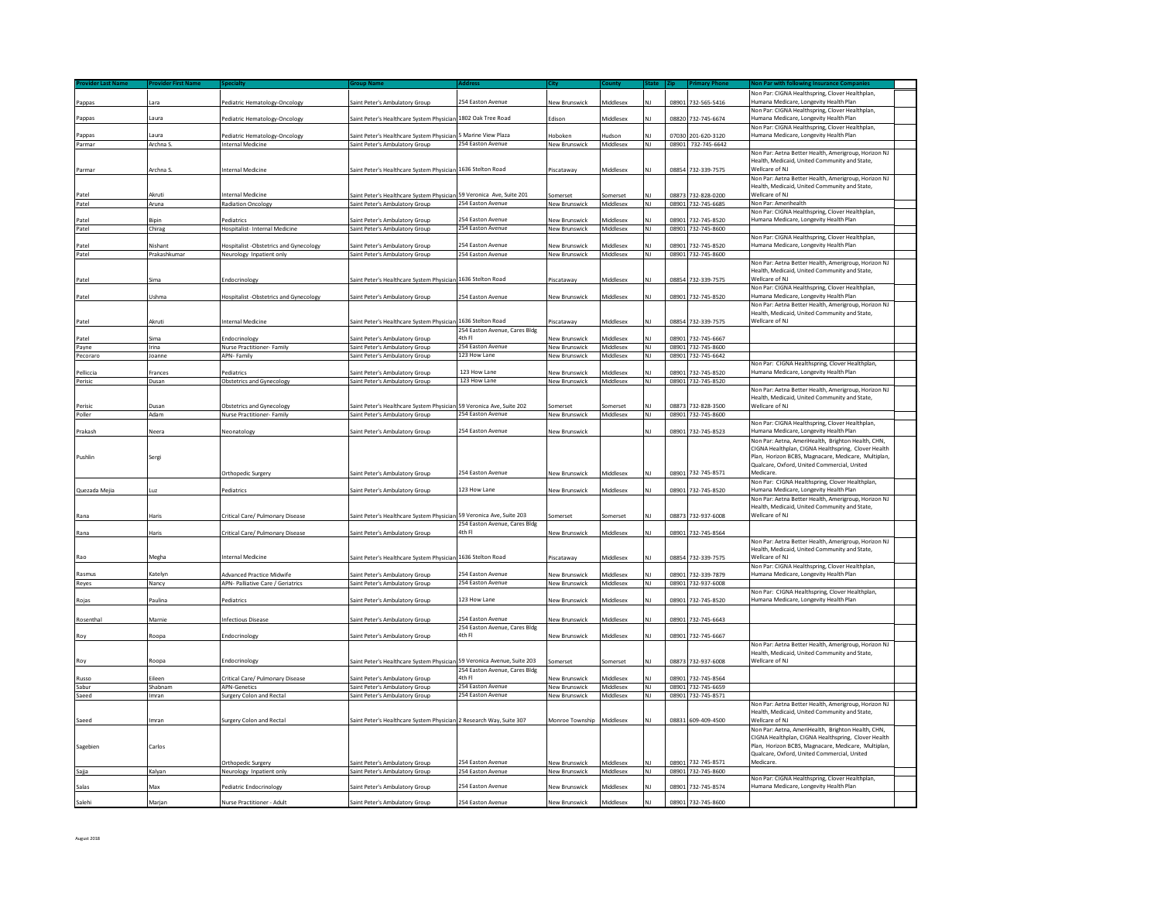| Pappas         | Lara          | ediatric Hematology-Oncology                | Saint Peter's Ambulatory Group                                          | 254 Easton Avenue                       | New Brunswick                         | Middlesex               |                |       | 08901 732-565-5416                 | Non Par: CIGNA Healthspring, Clover Healthplan<br>Humana Medicare, Longevity Health Plan                                                                                                                        |  |
|----------------|---------------|---------------------------------------------|-------------------------------------------------------------------------|-----------------------------------------|---------------------------------------|-------------------------|----------------|-------|------------------------------------|-----------------------------------------------------------------------------------------------------------------------------------------------------------------------------------------------------------------|--|
| Pappas         | .aura         | Pediatric Hematology-Oncology               | iaint Peter's Healthcare System Physiciar                               | 1802 Oak Tree Road                      | Edison                                | Middlesex               |                | 08820 | 732-745-6674                       | Non Par: CIGNA Healthspring, Clover Healthplan,<br>lumana Medicare, Longevity Health Plan                                                                                                                       |  |
| Pappas         | aura          | Pediatric Hematology-Oncology               | aint Peter's Healthcare System Physician                                | 5 Marine View Plaza                     | loboker                               | ludson                  |                |       | 07030 201-620-3120                 | Non Par: CIGNA Healthspring, Clover Healthplan,<br>Humana Medicare, Longevity Health Plan                                                                                                                       |  |
| Parmar         | Archna S.     | Internal Medicine                           | Saint Peter's Ambulatory Group                                          | 254 Easton Avenue                       | New Brunswick                         | Middlesex               | NJ             | 08901 | 732-745-6642                       |                                                                                                                                                                                                                 |  |
|                |               |                                             |                                                                         |                                         |                                       |                         |                | 08854 | 732-339-7575                       | Non Par: Aetna Better Health, Amerigroup, Horizon NJ<br>Health, Medicaid, United Community and State,                                                                                                           |  |
| Parmar         | Archna S      | Internal Medicine                           | Saint Peter's Healthcare System Physician 1636 Stelton Road             |                                         | Piscataway                            | Middlesex               | NΙ             |       |                                    | Wellcare of NJ<br>Non Par: Aetna Better Health, Amerigroup, Horizon NJ<br>Health, Medicaid, United Community and State,                                                                                         |  |
| Patel          | Akruti        | Internal Medicine                           | iaint Peter's Healthcare System Physician 59 Veronica Ave, Suite 201    |                                         | iomerset                              | Somerset                |                |       | 08873 732-828-0200                 | Wellcare of NJ                                                                                                                                                                                                  |  |
| Patel          | Aruna         | <b>Radiation Oncology</b>                   | Saint Peter's Ambulatory Group                                          | 254 Easton Avenue                       | New Brunswick                         | Middlesex               | NJ             |       | 08901 732-745-6685                 | Non Par: Amerihealth                                                                                                                                                                                            |  |
| Patel          | <b>Bipin</b>  | Pediatrics                                  | aint Peter's Ambulatory Group                                           | 254 Easton Avenue                       | <b>Vew Brunswick</b>                  | viddlesex               |                | 08901 | 732-745-8520                       | Non Par: CIGNA Healthspring, Clover Healthplan<br>Humana Medicare, Longevity Health Plan                                                                                                                        |  |
| Patel          | Chirag        | <b>Hospitalist- Internal Medicine</b>       | Saint Peter's Ambulatory Group                                          | 254 Easton Avenue                       | <b>New Brunswick</b>                  | Middlesex               | NI             |       | 08901 732-745-8600                 |                                                                                                                                                                                                                 |  |
| Patel          | Vishant       | Hospitalist -Obstetrics and Gynecology      | aint Peter's Ambulatory Group                                           | 54 Easton Avenue                        | <b>Vew Brunswick</b>                  | cozolbbiN               |                | 08901 | 732-745-8520                       | Non Par: CIGNA Healthspring, Clover Healthplan,<br>Humana Medicare, Longevity Health Plan                                                                                                                       |  |
| Patel          | Prakashkumar  | Neurology Inpatient only                    | Saint Peter's Ambulatory Group                                          | 254 Easton Avenue                       | New Brunswick                         | Middlesex               | NJ             |       | 08901 732-745-8600                 |                                                                                                                                                                                                                 |  |
|                |               |                                             |                                                                         |                                         |                                       |                         |                |       |                                    | Non Par: Aetna Better Health, Amerigroup, Horizon NJ<br>Health, Medicaid, United Community and State,                                                                                                           |  |
| Patel          | Sima          | Endocrinology                               | Saint Peter's Healthcare System Physician 1636 Stelton Road             |                                         | Piscataway                            | Middlesex               |                | 08854 | 732-339-7575                       | Wellcare of NJ<br>Non Par: CIGNA Healthspring, Clover Healthplan,                                                                                                                                               |  |
| Patel          | Ushma         | Hospitalist -Obstetrics and Gynecology      | Saint Peter's Ambulatory Group                                          | 254 Easton Avenue                       | <b>New Brunswick</b>                  | Middlesex               |                | 08901 | 732-745-8520                       | Humana Medicare, Longevity Health Plan                                                                                                                                                                          |  |
| Patel          | Akruti        | <b>Internal Medicine</b>                    | Saint Peter's Healthcare System Physician 1636 Stelton Road             |                                         | Piscataway                            | Middlesex               |                |       | 08854 732-339-7575                 | Non Par: Aetna Better Health, Amerigroup, Horizon NJ<br>Health, Medicaid, United Community and State,<br>Wellcare of NJ                                                                                         |  |
|                |               |                                             |                                                                         | 254 Easton Avenue, Cares Bldg<br>4th Fl |                                       |                         |                |       |                                    |                                                                                                                                                                                                                 |  |
| Patel<br>Payne | šima<br>Irina | Endocrinology<br>Nurse Practitioner- Family | iaint Peter's Ambulatory Group<br>Saint Peter's Ambulatory Group        | 254 Easton Avenue                       | <b>Vew Brunswick</b><br>New Brunswick | Middlesex<br>Middlesex  | NJ             | 08901 | 732-745-6667<br>08901 732-745-8600 |                                                                                                                                                                                                                 |  |
| Pecoraro       | Joanne        | APN-Family                                  | Saint Peter's Ambulatory Group                                          | 123 How Lane                            | <b>New Brunswick</b>                  | Middlesex               | NJ             |       | 08901 732-745-6642                 |                                                                                                                                                                                                                 |  |
|                |               |                                             |                                                                         |                                         |                                       |                         |                |       |                                    | Non Par: CIGNA Healthspring, Clover Healthplan,                                                                                                                                                                 |  |
| Pelliccia      | Frances       | ediatrics                                   | aint Peter's Ambulatory Group                                           | 123 How Lane<br>123 How Lane            | <b>New Brunswick</b>                  | <b>Middlesex</b>        | N <sub>1</sub> | 08901 | 732-745-8520<br>08901 732-745-8520 | Humana Medicare, Longevity Health Plan                                                                                                                                                                          |  |
| Perisic        | Dusan         | <b>Obstetrics and Gynecology</b>            | Saint Peter's Ambulatory Group                                          |                                         | New Brunswick                         | Middlesex               |                |       |                                    | Non Par: Aetna Better Health, Amerigroup, Horizon NJ                                                                                                                                                            |  |
|                |               |                                             |                                                                         |                                         |                                       |                         |                |       |                                    | Health, Medicaid, United Community and State                                                                                                                                                                    |  |
| Perisic        | Dusan         | <b>Obstetrics and Gynecology</b>            | aint Peter's Healthcare System Physician 59 Veronica Ave, Suite 202     | 254 Easton Avenue                       | Somerset                              | Somerset                |                |       | 08873 732-828-3500                 | Wellcare of NJ                                                                                                                                                                                                  |  |
| Poller         | Adam          | Nurse Practitioner- Family                  | Saint Peter's Ambulatory Group                                          |                                         | <b>New Brunswick</b>                  | Middlesex               | <b>NJ</b>      |       | 08901 732-745-8600                 | Non Par: CIGNA Healthspring, Clover Healthplan,                                                                                                                                                                 |  |
| Prakash        | Neera         | Neonatology                                 | iaint Peter's Ambulatory Group                                          | 54 Easton Avenue                        | <b>New Brunswick</b>                  |                         |                | 08901 | 732-745-8523                       | Humana Medicare, Longevity Health Plan<br>Non Par: Aetna, AmeriHealth, Brighton Health, CHN,                                                                                                                    |  |
| Pushlin        | Sergi         | <b>Orthopedic Surgery</b>                   | iaint Peter's Ambulatory Group                                          | 54 Easton Avenue                        | New Brunswick                         | Middlesex               |                | 08901 | 732-745-8571                       | CIGNA Healthplan, CIGNA Healthspring, Clover Health<br>Plan, Horizon BCBS, Magnacare, Medicare, Multiplan,<br>Qualcare, Oxford, United Commercial, United<br>Medicare.                                          |  |
|                |               |                                             |                                                                         |                                         |                                       |                         |                |       |                                    | Non Par: CIGNA Healthspring, Clover Healthplan,                                                                                                                                                                 |  |
| Quezada Mejia  | <b>uz</b>     | Pediatrics                                  | iaint Peter's Ambulatory Group                                          | 123 How Lane                            | <b>New Brunswick</b>                  | Middlesex               |                | 08901 | 732-745-8520                       | Humana Medicare, Longevity Health Plan<br>Non Par: Aetna Better Health, Amerigroup, Horizon NJ                                                                                                                  |  |
|                | Haris         | Critical Care/ Pulmonary Disease            | aint Peter's Healthcare System Physiciar                                | 59 Veronica Ave. Suite 203              | omerset                               | omerset                 |                | 08873 | 732-937-6008                       | Health, Medicaid, United Community and State,<br>Wellcare of NJ                                                                                                                                                 |  |
| Rana           | Haris         | Critical Care/ Pulmonary Disease            | aint Peter's Ambulatory Group                                           | 254 Easton Avenue, Cares Bldg<br>4th Fl | New Brunswick                         | Middlesex               |                | 08901 | 732-745-8564                       |                                                                                                                                                                                                                 |  |
|                |               | Internal Medicine                           |                                                                         |                                         |                                       |                         |                |       |                                    | Non Par: Aetna Better Health, Amerigroup, Horizon NJ<br>Health, Medicaid, United Community and State<br>Wellcare of NJ                                                                                          |  |
| Rao            | Megha         |                                             | Saint Peter's Healthcare System Physician 1636 Stelton Road             |                                         | Piscataway                            | Viddlesex               |                |       | 08854 732-339-7575                 | Non Par: CIGNA Healthspring, Clover Healthplan,                                                                                                                                                                 |  |
| Rasmus         | Katelyn       | Advanced Practice Midwife                   | aint Peter's Ambulatory Group                                           | 254 Easton Avenue                       | New Brunswick                         | Viddlesex               |                | 08901 | 732-339-7879                       | Humana Medicare, Longevity Health Plan                                                                                                                                                                          |  |
| Reves          | Nancy         | APN- Palliative Care / Geriatrics           | Saint Peter's Ambulatory Group                                          | 254 Easton Avenue                       | <b>New Brunswick</b>                  | Middlesex               | NJ             |       | 08901 732-937-6008                 | Non Par: CIGNA Healthspring, Clover Healthplan,                                                                                                                                                                 |  |
| Rojas          | Paulina       | Pediatrics                                  | Saint Peter's Ambulatory Group                                          | 123 How Lane                            | <b>New Brunswick</b>                  | Viddlesex               |                | 08901 | 732-745-8520                       | Humana Medicare, Longevity Health Plan                                                                                                                                                                          |  |
| Rosenthal      | Marnie        | Infectious Disease                          | iaint Peter's Ambulatory Group                                          | 254 Easton Avenue                       | <b>Vew Brunswick</b>                  | <b>Middlesex</b>        |                | 08901 | 732-745-6643                       |                                                                                                                                                                                                                 |  |
| Roy            | Roopa         | Endocrinology                               | iaint Peter's Ambulatory Group                                          | 254 Easton Avenue, Cares Bldg<br>4th Fl | <b>Vew Brunswick</b>                  | Middlesex               | NJ             |       | 08901 732-745-6667                 |                                                                                                                                                                                                                 |  |
|                |               |                                             |                                                                         |                                         |                                       |                         |                |       |                                    | Non Par: Aetna Better Health, Amerigroup, Horizon NJ<br>Health, Medicaid, United Community and State,                                                                                                           |  |
| Roy            | Roopa         | Endocrinology                               | iaint Peter's Healthcare System Physician 59 Veronica Avenue, Suite 203 | 254 Easton Avenue, Cares Bldg           | iomerset                              | Somerset                |                |       | 08873 732-937-6008                 | Wellcare of NJ                                                                                                                                                                                                  |  |
| Russo          | Eileen        | Critical Care/ Pulmonary Disease            | iaint Peter's Ambulatory Group                                          | 4th Fl                                  | lew Brunswick                         | <i><b>Middlesex</b></i> |                | 08901 | 732-745-8564                       |                                                                                                                                                                                                                 |  |
| Sabur          | Shabnam       | <b>APN-Genetics</b>                         | Saint Peter's Ambulatory Group                                          | 254 Easton Avenue                       | New Brunswick                         | Middlesex               | NI             |       | 08901 732-745-6659                 |                                                                                                                                                                                                                 |  |
| Saeed          | Imran         | Surgery Colon and Rectal                    | Saint Peter's Ambulatory Group                                          | 254 Easton Avenue                       | <b>New Brunswick</b>                  | Middlesex               | NJ             |       | 08901 732-745-8571                 |                                                                                                                                                                                                                 |  |
| <b>Saeed</b>   | mran          | <b>Surgery Colon and Rectal</b>             | Saint Peter's Healthcare System Physician 2 Research Way, Suite 307     |                                         | Monroe Township                       | Middlesex               |                |       | 08831 609-409-4500                 | Non Par: Aetna Better Health, Amerigroup, Horizon NJ<br>Health, Medicaid, United Community and State,<br>Wellcare of NJ                                                                                         |  |
| Sagebien       | Carlos        |                                             |                                                                         |                                         |                                       |                         |                |       |                                    | Non Par: Aetna, AmeriHealth, Brighton Health, CHN,<br>CIGNA Healthplan, CIGNA Healthspring, Clover Health<br>Plan, Horizon BCBS, Magnacare, Medicare, Multiplan,<br>Qualcare, Oxford, United Commercial, United |  |
|                |               | Orthopedic Surgery                          | aint Peter's Ambulatory Group                                           | 254 Easton Avenue                       | <b>New Brunswick</b>                  | <b>Middlesex</b>        |                | 08901 | 732-745-8571                       | Medicare.                                                                                                                                                                                                       |  |
| Sajja          | Kalyan        | Neurology Inpatient only                    | iaint Peter's Ambulatory Group                                          | 254 Easton Avenue                       | <b>New Brunswick</b>                  | Middlesex               | NJ             | 08901 | 732-745-8600                       | Non Par: CIGNA Healthspring, Clover Healthplan                                                                                                                                                                  |  |
| Salas          | Max           | Pediatric Endocrinology                     | iaint Peter's Ambulatory Group                                          | 54 Easton Avenue                        | New Brunswick                         | Viddlesex               |                | 08901 | 732-745-8574                       | Humana Medicare, Longevity Health Plan                                                                                                                                                                          |  |
|                |               |                                             |                                                                         |                                         |                                       |                         |                |       |                                    |                                                                                                                                                                                                                 |  |
| Salehi         | Marjan        | Nurse Practitioner - Adult                  | Saint Peter's Ambulatory Group                                          | 254 Easton Avenue                       | New Brunswick                         | Middlesex               |                |       | 08901 732-745-8600                 |                                                                                                                                                                                                                 |  |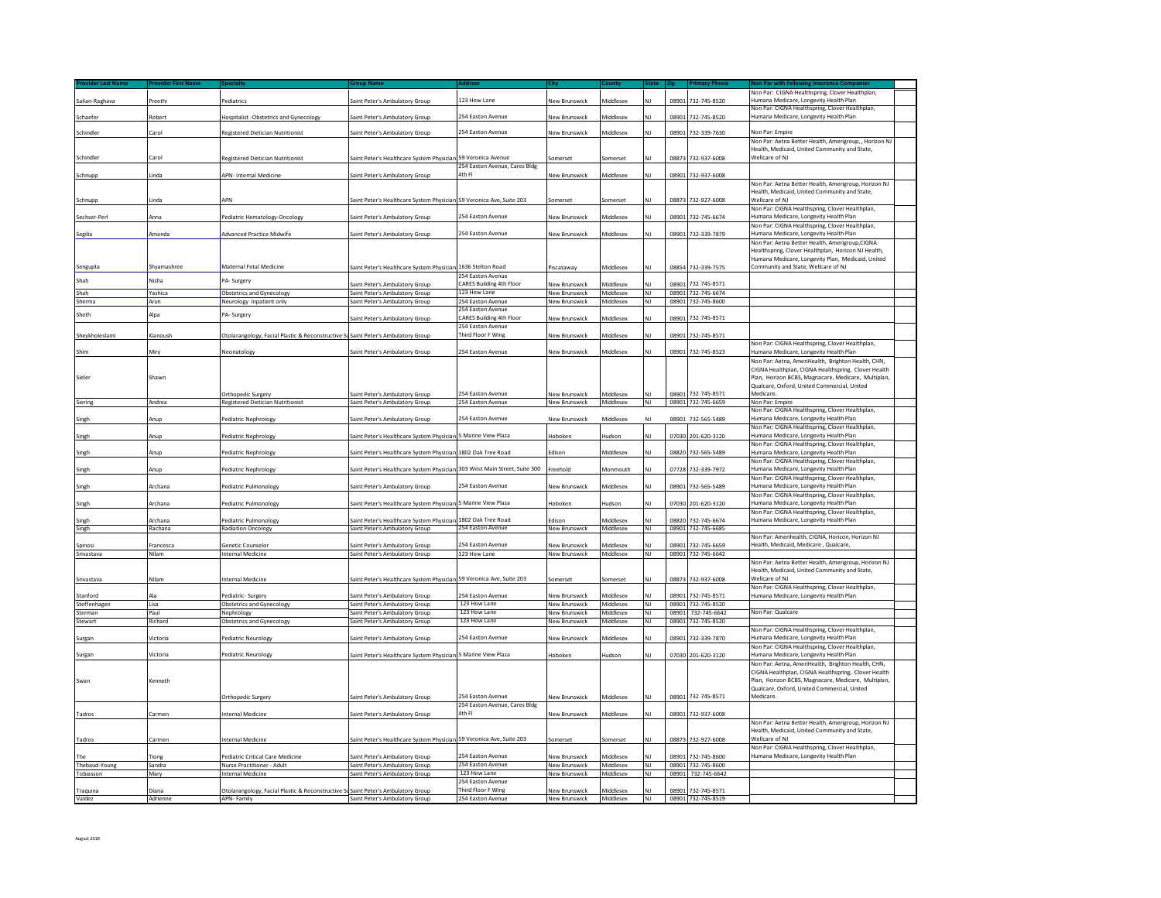|                |                   |                                                                                   |                                                                      |                                         |                                |                               |           |       |                                          | Non Par: CIGNA Healthspring, Clover Healthplan,                                                            |  |
|----------------|-------------------|-----------------------------------------------------------------------------------|----------------------------------------------------------------------|-----------------------------------------|--------------------------------|-------------------------------|-----------|-------|------------------------------------------|------------------------------------------------------------------------------------------------------------|--|
| Salian-Raghava | Preethi           | Pediatrics                                                                        | Saint Peter's Ambulatory Group                                       | 123 How Lane                            | New Brunswick                  | <b>Middlesex</b>              |           | 08901 | 732-745-8520                             | Humana Medicare, Longevity Health Plan                                                                     |  |
|                |                   |                                                                                   |                                                                      |                                         |                                |                               |           |       |                                          | Non Par: CIGNA Healthspring, Clover Healthplan.                                                            |  |
| Schaefer       | Robert            | Hospitalist -Obstetrics and Gynecology                                            | Saint Peter's Ambulatory Group                                       | 254 Easton Avenue                       | <b>New Brunswick</b>           | Viiddlesex                    |           |       | 08901 732-745-8520                       | Humana Medicare, Longevity Health Plan                                                                     |  |
|                | Carol             |                                                                                   |                                                                      | 254 Easton Avenue                       |                                | Middlesex                     |           |       | 08901 732-339-7630                       | Non Par: Empire                                                                                            |  |
| Schindler      |                   | Registered Dietician Nutritionist                                                 | iaint Peter's Ambulatory Group                                       |                                         | <b>Vew Brunswick</b>           |                               |           |       |                                          |                                                                                                            |  |
|                |                   |                                                                                   |                                                                      |                                         |                                |                               |           |       |                                          | Non Par: Aetna Better Health, Amerigroup, , Horizon NJ<br>Health, Medicaid, United Community and State.    |  |
| Schindler      | Carol             | Registered Dietician Nutritionist                                                 | Saint Peter's Healthcare System Physician                            | 59 Veronica Avenue                      | iomerset                       | somerset                      |           |       | 08873 732-937-6008                       | Wellcare of NJ                                                                                             |  |
|                |                   |                                                                                   |                                                                      | 254 Easton Avenue, Cares Bldg           |                                |                               |           |       |                                          |                                                                                                            |  |
| Schnupp        | Linda             | APN- Internal Medicine                                                            | Saint Peter's Ambulatory Group                                       | 4th Fl                                  | <b>Vew Brunswick</b>           | Middlesex                     |           |       | 08901 732-937-6008                       |                                                                                                            |  |
|                |                   |                                                                                   |                                                                      |                                         |                                |                               |           |       |                                          | Non Par: Aetna Better Health, Amerigroup, Horizon NJ                                                       |  |
|                |                   |                                                                                   |                                                                      |                                         |                                |                               |           |       |                                          | Health, Medicaid, United Community and State                                                               |  |
| Schnupp        | Linda             | <b>APN</b>                                                                        | Saint Peter's Healthcare System Physician 59 Veronica Ave, Suite 203 |                                         | iomerset                       | Somerset                      |           |       | 08873 732-927-6008                       | Wellcare of NJ                                                                                             |  |
|                |                   |                                                                                   |                                                                      |                                         |                                |                               |           |       |                                          | Non Par: CIGNA Healthspring, Clover Healthplan,                                                            |  |
| Sechser-Perl   | Anna              | Pediatric Hematology-Oncology                                                     | Saint Peter's Ambulatory Group                                       | 254 Easton Avenue                       | <b>New Brunswick</b>           | Viddlesex                     |           |       | 08901 732-745-6674                       | Humana Medicare, Longevity Health Plan                                                                     |  |
|                |                   |                                                                                   |                                                                      |                                         |                                |                               |           |       |                                          | Non Par: CIGNA Healthspring, Clover Healthplan,                                                            |  |
| Segilia        | Amanda            | Advanced Practice Midwife                                                         | Saint Peter's Ambulatory Group                                       | 254 Easton Avenue                       | <b>Vew Brunswick</b>           | Viiddlesex                    |           |       | 08901 732-339-7879                       | Humana Medicare, Longevity Health Plan                                                                     |  |
|                |                   |                                                                                   |                                                                      |                                         |                                |                               |           |       |                                          | Non Par: Aetna Better Health, Amerigroup, CIGNA<br>lealthspring, Clover Healthplan, Horizon NJ Health      |  |
|                |                   |                                                                                   |                                                                      |                                         |                                |                               |           |       |                                          | Humana Medicare, Longevity Plan, Medicaid, United                                                          |  |
| Sengupta       | Shvamashree       | Maternal Fetal Medicine                                                           | iaint Peter's Healthcare System Physician                            | 1636 Stelton Road                       | Piscataway                     | Middlesex                     |           |       | 08854 732-339-7575                       | Community and State, Wellcare of NJ                                                                        |  |
|                |                   |                                                                                   |                                                                      | 254 Easton Avenue                       |                                |                               |           |       |                                          |                                                                                                            |  |
| Shah           | Nisha             | A-Surgery                                                                         | aint Peter's Ambulatory Group                                        | CARES Building 4th Floor                | lew Brunswick                  | Viiddlesex                    |           | 08901 | 732-745-8571                             |                                                                                                            |  |
| Shah           | Yashica           | <b>Obstetrics and Gynecology</b>                                                  | Saint Peter's Ambulatory Group                                       | 123 How Lane                            | <b>New Brunswick</b>           | Middlesex                     | NJ        |       | 08901 732-745-6674                       |                                                                                                            |  |
| Sherma         | Arun              | Neurology Inpatient only                                                          | Saint Peter's Ambulatory Group                                       | 254 Easton Avenue                       | New Brunswick                  | Middlesex                     | NJ        |       | 08901 732-745-8600                       |                                                                                                            |  |
|                |                   |                                                                                   |                                                                      | 254 Easton Avenue                       |                                |                               |           |       |                                          |                                                                                                            |  |
| Sheth          | Alpa              | PA-Surgery                                                                        | iaint Peter's Ambulatory Group                                       | CARES Building 4th Floor                | Jew Brunswick                  | Middlesex                     |           | 08901 | 732-745-8571                             |                                                                                                            |  |
|                |                   |                                                                                   |                                                                      | 254 Easton Avenue                       |                                |                               |           |       |                                          |                                                                                                            |  |
| Sheykholeslami | Kianoush          | Otolarangology, Facial Plastic & Reconstructive Su                                | Saint Peter's Ambulatory Group                                       | Third Floor F Wing                      | New Brunswick                  | Middlesex                     |           | 08901 | 732-745-8571                             |                                                                                                            |  |
|                |                   |                                                                                   |                                                                      |                                         |                                |                               |           |       |                                          | Non Par: CIGNA Healthspring, Clover Healthplan,                                                            |  |
| Shim           | Mirv              | Neonatology                                                                       | Saint Peter's Ambulatory Group                                       | 254 Easton Avenue                       | Jew Brunswick                  | Middlesex                     |           |       | 08901 732-745-8523                       | lumana Medicare, Longevity Health Plan                                                                     |  |
|                |                   |                                                                                   |                                                                      |                                         |                                |                               |           |       |                                          | Non Par: Aetna, AmeriHealth, Brighton Health, CHN,                                                         |  |
|                |                   |                                                                                   |                                                                      |                                         |                                |                               |           |       |                                          | CIGNA Healthplan, CIGNA Healthspring, Clover Health                                                        |  |
| Sieler         | Shawn             |                                                                                   |                                                                      |                                         |                                |                               |           |       |                                          | Plan, Horizon BCBS, Magnacare, Medicare, Multiplan,                                                        |  |
|                |                   |                                                                                   |                                                                      |                                         |                                |                               |           |       |                                          | Qualcare, Oxford, United Commercial, United                                                                |  |
|                |                   | Orthopedic Surgery                                                                | Saint Peter's Ambulatory Group                                       | 254 Easton Avenue                       | <b>New Brunswick</b>           | Middlesex                     | NΙ        |       | 08901 732-745-8571                       | Medicare.                                                                                                  |  |
| Siering        | Andrea            | <b>Registered Dietician Nutritionist</b>                                          | Saint Peter's Ambulatory Group                                       | 254 Easton Avenue                       | New Brunswick                  | Middlesex                     | NJ        |       | 08901 732-745-6659                       | Non Par: Empire<br>Non Par: CIGNA Healthspring, Clover Healthplan,                                         |  |
| Singh          | Anup              | Pediatric Nephrology                                                              | Saint Peter's Ambulatory Group                                       | 254 Easton Avenue                       | New Brunswick                  | Middlesex                     | NJ        |       | 08901 732-565-5489                       | Humana Medicare, Longevity Health Plan                                                                     |  |
|                |                   |                                                                                   |                                                                      |                                         |                                |                               |           |       |                                          | Non Par: CIGNA Healthspring, Clover Healthplan,                                                            |  |
| Singh          | Anup              | ediatric Nephrology                                                               | aint Peter's Healthcare System Physicia                              | Marine View Plaza                       | loboker                        | ludson                        |           | 07030 | 201-620-3120                             | lumana Medicare, Longevity Health Plan                                                                     |  |
|                |                   |                                                                                   |                                                                      |                                         |                                |                               |           |       |                                          | Non Par: CIGNA Healthspring, Clover Healthplan,                                                            |  |
| Singh          | Anup              | Pediatric Nephrology                                                              | iaint Peter's Healthcare System Physician                            | 1802 Oak Tree Road                      | Edison                         | Middlesex                     | NΙ        |       | 08820 732-565-5489                       | Humana Medicare, Longevity Health Plan                                                                     |  |
|                |                   |                                                                                   |                                                                      |                                         |                                |                               |           |       |                                          | Non Par: CIGNA Healthspring, Clover Healthplan,                                                            |  |
| Singh          | Anup              | ediatric Nephrology                                                               | aint Peter's Healthcare System Physician                             | 303 West Main Street, Suite 300         | reehold                        | Monmouth                      |           | 07728 | 732-339-797                              | Humana Medicare, Longevity Health Plan                                                                     |  |
|                |                   |                                                                                   |                                                                      |                                         |                                |                               |           |       |                                          | Non Par: CIGNA Healthspring, Clover Healthplan,                                                            |  |
| Singh          | Archana           | Pediatric Pulmonology                                                             | Saint Peter's Ambulatory Group                                       | 254 Easton Avenue                       | <b>Vew Brunswick</b>           | Middlesex                     |           | 08901 | 732-565-5489                             | Jumana Medicare, Longevity Health Plan                                                                     |  |
|                |                   |                                                                                   |                                                                      |                                         |                                |                               |           |       |                                          | Non Par: CIGNA Healthspring, Clover Healthplan,                                                            |  |
| Singh          | Archana           | Pediatric Pulmonology                                                             | iaint Peter's Healthcare System Physician                            | 5 Marine View Plaza                     | Hoboken                        | Hudson                        |           |       | 07030 201-620-3120                       | Humana Medicare, Longevity Health Plan                                                                     |  |
|                |                   |                                                                                   |                                                                      |                                         |                                |                               |           |       |                                          | Non Par: CIGNA Healthspring, Clover Healthplan,                                                            |  |
| Singh          | Archana           | Pediatric Pulmonology                                                             | Saint Peter's Healthcare System Physician                            | 1802 Oak Tree Road<br>254 Easton Avenue | Edison                         | Middlesex                     | NJ        |       | 08820 732-745-6674                       | Humana Medicare, Longevity Health Plan                                                                     |  |
| Singh          | Rachana           | <b>Radiation Oncology</b>                                                         | Saint Peter's Ambulatory Group                                       |                                         | <b>New Brunswick</b>           | Middlesex                     | NJ        |       | 08901 732-745-6685                       | Non Par: Amerihealth, CIGNA, Horizon, Horizon NJ                                                           |  |
| Spinosi        | Francesca         | <b>Senetic Counselor</b>                                                          | Saint Peter's Ambulatory Group                                       | 254 Easton Avenue                       | <b>New Brunswick</b>           | Middlesex                     | NΙ        |       | 08901 732-745-6659                       | Health, Medicaid, Medicare, Qualcare,                                                                      |  |
| Srivastava     | Nilam             | Internal Medicine                                                                 | Saint Peter's Ambulatory Group                                       | 123 How Lane                            | New Brunswick                  | Middlesex                     | NJ        |       | 08901 732-745-6642                       |                                                                                                            |  |
|                |                   |                                                                                   |                                                                      |                                         |                                |                               |           |       |                                          | Non Par: Aetna Better Health, Amerigroup, Horizon NJ                                                       |  |
|                |                   |                                                                                   |                                                                      |                                         |                                |                               |           |       |                                          | Health, Medicaid, United Community and State,                                                              |  |
| Srivastava     | Nilam             | Internal Medicine                                                                 | Saint Peter's Healthcare System Physician 59 Veronica Ave, Suite 203 |                                         | Somerset                       | Somerset                      | NI        |       | 08873 732-937-6008                       | Wellcare of NJ                                                                                             |  |
|                |                   |                                                                                   |                                                                      |                                         |                                |                               |           |       |                                          | Non Par: CIGNA Healthspring, Clover Healthplan,                                                            |  |
| Stanford       | Ala               | Pediatric- Surgery                                                                | Saint Peter's Ambulatory Group                                       | 254 Easton Avenue                       | lew Brunswick                  | Middlesex                     |           |       | 08901 732-745-8571                       | Humana Medicare, Longevity Health Plan                                                                     |  |
| Steffenhagen   | Lisa              | <b>Obstetrics and Gynecology</b>                                                  | Saint Peter's Ambulatory Group                                       | 123 How Lane                            | New Brunswick                  | Middlesex                     | NJ        |       | 08901 732-745-8520                       |                                                                                                            |  |
| Sterman        | Paul              | Nephrology                                                                        | Saint Peter's Ambulatory Group                                       | 123 How Lane                            | <b>New Brunswick</b>           | Middlesex                     | NJ        |       | 08901 732-745-6642                       | Non Par: Qualcare                                                                                          |  |
| Stewart        | Richard           | Obstetrics and Gynecology                                                         | Saint Peter's Ambulatory Group                                       | 123 How Lane                            | New Brunswick                  | Middlesex                     | NJ        |       | 08901 732-745-8520                       |                                                                                                            |  |
|                |                   |                                                                                   |                                                                      |                                         |                                |                               |           |       |                                          | Non Par: CIGNA Healthspring, Clover Healthplan,                                                            |  |
| Surgan         | Victoria          | Pediatric Neurology                                                               | Saint Peter's Ambulatory Group                                       | 254 Faston Avenue                       | New Brunswick                  | Middlesex                     | NJ        |       | 08901 732-339-7870                       | Humana Medicare, Longevity Health Plan                                                                     |  |
|                |                   |                                                                                   |                                                                      |                                         |                                |                               |           |       |                                          | Ion Par: CIGNA Healthspring, Clover Healthplan,                                                            |  |
| Surgan         | Victoria          | Pediatric Neurology                                                               | aint Peter's Healthcare System Physician                             | 5 Marine View Plaza                     | Hoboken                        | ludson                        | NΙ        | 07030 | 201-620-3120                             | Humana Medicare, Longevity Health Plan                                                                     |  |
|                |                   |                                                                                   |                                                                      |                                         |                                |                               |           |       |                                          | Non Par: Aetna, AmeriHealth, Brighton Health, CHN,                                                         |  |
|                |                   |                                                                                   |                                                                      |                                         |                                |                               |           |       |                                          | CIGNA Healthplan, CIGNA Healthspring, Clover Health<br>Plan, Horizon BCBS, Magnacare, Medicare, Multiplan, |  |
| Swan           | Kenneth           |                                                                                   |                                                                      |                                         |                                |                               |           |       |                                          | Qualcare, Oxford, United Commercial, United                                                                |  |
|                |                   | Orthopedic Surgery                                                                | Saint Peter's Ambulatory Group                                       | 254 Easton Avenue                       | New Brunswick                  | Middlesex                     |           |       | 08901 732-745-8571                       | Medicare.                                                                                                  |  |
|                |                   |                                                                                   |                                                                      | 254 Easton Avenue, Cares Bldg           |                                |                               |           |       |                                          |                                                                                                            |  |
| Tadros         | Carmen            | nternal Medicine                                                                  | aint Peter's Ambulatory Group                                        | 4th Fl                                  | lew Brunswick                  | Viiddlesex                    |           | 08901 | 732-937-6008                             |                                                                                                            |  |
|                |                   |                                                                                   |                                                                      |                                         |                                |                               |           |       |                                          | Non Par: Aetna Better Health, Amerigroup, Horizon NJ                                                       |  |
|                |                   |                                                                                   |                                                                      |                                         |                                |                               |           |       |                                          | Health, Medicaid, United Community and State,                                                              |  |
| Tadros         | Carmen            | <b>Internal Medicine</b>                                                          | Saint Peter's Healthcare System Physician 59 Veronica Ave, Suite 203 |                                         | iomerset                       | Somerset                      |           |       | 08873 732-927-6008                       | <b>Nellcare of NJ</b>                                                                                      |  |
|                |                   |                                                                                   |                                                                      |                                         |                                |                               |           |       |                                          | Non Par: CIGNA Healthspring, Clover Healthplan,                                                            |  |
| The            | Tiong             | Pediatric Critical Care Medicine                                                  | aint Peter's Ambulatory Group                                        | 254 Easton Avenue                       | <b>Vew Brunswick</b>           | <b>Middlesex</b>              |           |       | 08901 732-745-8600                       | Humana Medicare, Longevity Health Plan                                                                     |  |
| Thebaud-Young  | Sandra            | Nurse Practitioner - Adult                                                        | Saint Peter's Ambulatory Group                                       | 254 Easton Avenue                       | New Brunswick                  | Middlesex                     | NJ        |       | 08901 732-745-8600                       |                                                                                                            |  |
| Tobiasson      | Mary              | <b>Internal Medicine</b>                                                          | aint Peter's Ambulatory Group                                        | 123 How Lane                            | <b>Vew Brunswick</b>           | Middlesex                     | NJ        | 08901 | 732-745-6642                             |                                                                                                            |  |
|                |                   |                                                                                   |                                                                      | 254 Faston Avenue                       |                                |                               |           |       |                                          |                                                                                                            |  |
| Traquina       | Diana<br>Adrienne | Otolarangology, Facial Plastic & Reconstructive Su Saint Peter's Ambulatory Group | Saint Peter's Ambulatory Group                                       | Third Floor F Wing<br>254 Easton Avenue | lew Brunswick<br>New Brunswick | <b>Middlesex</b><br>Middlesex |           |       | 08901 732-745-8571<br>08901 732-745-8519 |                                                                                                            |  |
| Valdez         |                   | APN-Family                                                                        |                                                                      |                                         |                                |                               | <b>NJ</b> |       |                                          |                                                                                                            |  |